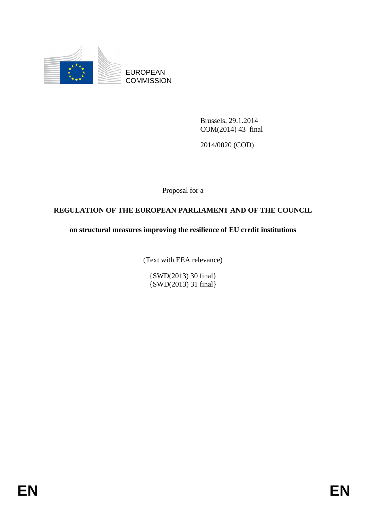

EUROPEAN **COMMISSION** 

> Brussels, 29.1.2014 COM(2014) 43 final

2014/0020 (COD)

Proposal for a

# **REGULATION OF THE EUROPEAN PARLIAMENT AND OF THE COUNCIL**

**on structural measures improving the resilience of EU credit institutions** 

(Text with EEA relevance)

{SWD(2013) 30 final} {SWD(2013) 31 final}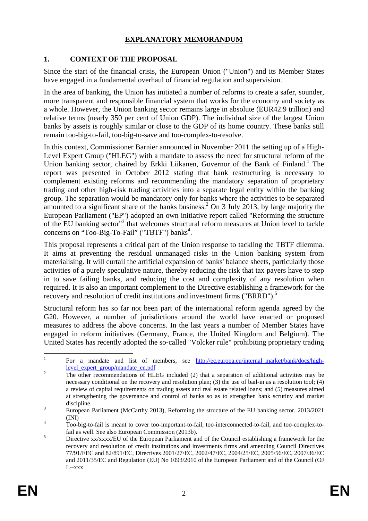# **EXPLANATORY MEMORANDUM**

### **1. CONTEXT OF THE PROPOSAL**

Since the start of the financial crisis, the European Union ("Union") and its Member States have engaged in a fundamental overhaul of financial regulation and supervision.

In the area of banking, the Union has initiated a number of reforms to create a safer, sounder, more transparent and responsible financial system that works for the economy and society as a whole. However, the Union banking sector remains large in absolute (EUR42.9 trillion) and relative terms (nearly 350 per cent of Union GDP). The individual size of the largest Union banks by assets is roughly similar or close to the GDP of its home country. These banks still remain too-big-to-fail, too-big-to-save and too-complex-to-resolve.

In this context, Commissioner Barnier announced in November 2011 the setting up of a High-Level Expert Group ("HLEG") with a mandate to assess the need for structural reform of the Union banking sector, chaired by Erkki Liikanen, Governor of the Bank of Finland.<sup>1</sup> The report was presented in October 2012 stating that bank restructuring is necessary to complement existing reforms and recommending the mandatory separation of proprietary trading and other high-risk trading activities into a separate legal entity within the banking group. The separation would be mandatory only for banks where the activities to be separated amounted to a significant share of the banks business.<sup>2</sup> On 3 July 2013, by large majority the European Parliament ("EP") adopted an own initiative report called "Reforming the structure of the EU banking sector"<sup>3</sup> that welcomes structural reform measures at Union level to tackle concerns on "Too-Big-To-Fail" ("TBTF") banks<sup>4</sup>.

This proposal represents a critical part of the Union response to tackling the TBTF dilemma. It aims at preventing the residual unmanaged risks in the Union banking system from materialising. It will curtail the artificial expansion of banks' balance sheets, particularly those activities of a purely speculative nature, thereby reducing the risk that tax payers have to step in to save failing banks, and reducing the cost and complexity of any resolution when required. It is also an important complement to the Directive establishing a framework for the recovery and resolution of credit institutions and investment firms ("BRRD").<sup>5</sup>

Structural reform has so far not been part of the international reform agenda agreed by the G20. However, a number of jurisdictions around the world have enacted or proposed measures to address the above concerns. In the last years a number of Member States have engaged in reform initiatives (Germany, France, the United Kingdom and Belgium). The United States has recently adopted the so-called "Volcker rule" prohibiting proprietary trading

 $\frac{1}{1}$ For a mandate and list of members, see http://ec.europa.eu/internal\_market/bank/docs/high[level\\_expert\\_group/mandate\\_en.pdf](http://ec.europa.eu/internal_market/bank/docs/high-level_expert_group/mandate_en.pdf)

The other recommendations of HLEG included (2) that a separation of additional activities may be necessary conditional on the recovery and resolution plan; (3) the use of bail-in as a resolution tool; (4) a review of capital requirements on trading assets and real estate related loans; and (5) measures aimed at strengthening the governance and control of banks so as to strengthen bank scrutiny and market discipline. 3

European Parliament (McCarthy 2013), Reforming the structure of the EU banking sector, 2013/2021  $\frac{1}{4}$  (INI)

Too-big-to-fail is meant to cover too-important-to-fail, too-interconnected-to-fail, and too-complex-tofail as well. See also European Commission (2013b).

Directive xx/xxxx/EU of the European Parliament and of the Council establishing a framework for the recovery and resolution of credit institutions and investments firms and amending Council Directives 77/91/EEC and 82/891/EC, Directives 2001/27/EC, 2002/47/EC, 2004/25/EC, 2005/56/EC, 2007/36/EC and 2011/35/EC and Regulation (EU) No 1093/2010 of the European Parliament and of the Council (OJ L--xxx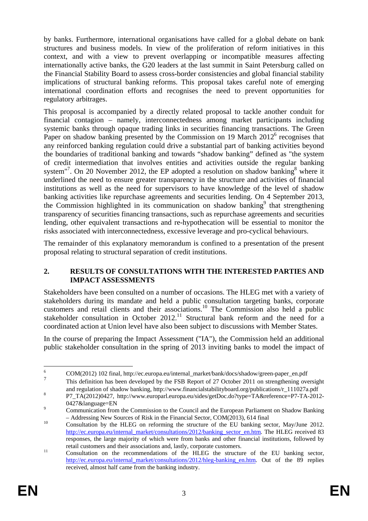by banks. Furthermore, international organisations have called for a global debate on bank structures and business models. In view of the proliferation of reform initiatives in this context, and with a view to prevent overlapping or incompatible measures affecting internationally active banks, the G20 leaders at the last summit in Saint Petersburg called on the Financial Stability Board to assess cross-border consistencies and global financial stability implications of structural banking reforms. This proposal takes careful note of emerging international coordination efforts and recognises the need to prevent opportunities for regulatory arbitrages.

This proposal is accompanied by a directly related proposal to tackle another conduit for financial contagion – namely, interconnectedness among market participants including systemic banks through opaque trading links in securities financing transactions. The Green Paper on shadow banking presented by the Commission on 19 March  $2012^6$  recognises that any reinforced banking regulation could drive a substantial part of banking activities beyond the boundaries of traditional banking and towards "shadow banking" defined as "the system of credit intermediation that involves entities and activities outside the regular banking system"<sup>7</sup>. On 20 November 2012, the EP adopted a resolution on shadow banking<sup>8</sup> where it underlined the need to ensure greater transparency in the structure and activities of financial institutions as well as the need for supervisors to have knowledge of the level of shadow banking activities like repurchase agreements and securities lending. On 4 September 2013, the Commission highlighted in its communication on shadow banking<sup>9</sup> that strengthening transparency of securities financing transactions, such as repurchase agreements and securities lending, other equivalent transactions and re-hypothecation will be essential to monitor the risks associated with interconnectedness, excessive leverage and pro-cyclical behaviours.

The remainder of this explanatory memorandum is confined to a presentation of the present proposal relating to structural separation of credit institutions.

### **2. RESULTS OF CONSULTATIONS WITH THE INTERESTED PARTIES AND IMPACT ASSESSMENTS**

Stakeholders have been consulted on a number of occasions. The HLEG met with a variety of stakeholders during its mandate and held a public consultation targeting banks, corporate customers and retail clients and their associations.<sup>10</sup> The Commission also held a public stakeholder consultation in October  $2012$ .<sup>11</sup> Structural bank reform and the need for a coordinated action at Union level have also been subject to discussions with Member States.

In the course of preparing the Impact Assessment ("IA"), the Commission held an additional public stakeholder consultation in the spring of 2013 inviting banks to model the impact of

 $\frac{1}{6}$ COM(2012) 102 final, http://ec.europa.eu/internal\_market/bank/docs/shadow/green-paper\_en.pdf

<sup>7</sup> This definition has been developed by the FSB Report of 27 October 2011 on strengthening oversight and regulation of shadow banking, http://www.financialstabilityboard.org/publications/r\_111027a.pdf 8

P7\_TA(2012)0427, http://www.europarl.europa.eu/sides/getDoc.do?type=TA&reference=P7-TA-2012-  $0427\&$ language=EN

Communication from the Commission to the Council and the European Parliament on Shadow Banking – Addressing New Sources of Risk in the Financial Sector, COM(2013), 614 final<br><sup>10</sup> Consultation by the HLEG on reforming the structure of the EU banking sector, May/June 2012.

[http://ec.europa.eu/internal\\_market/consultations/2012/b](http://ec.europa.eu/internal_market/consultations/2012/banking_sector_en.htm)anking\_sector\_en.htm. The HLEG received 83 responses, the large majority of which were from banks and other financial institutions, followed by

retail customers and their associations and, lastly, corporate customers. 11 Consultation on the recommendations of the HLEG the structure of the EU banking sector, [http://ec.europa.eu/internal\\_market/consultations/2012/hleg-banking\\_en.htm.](http://ec.europa.eu/internal_market/consultations/2012/hleg-banking_en.htm) Out of the 89 replies received, almost half came from the banking industry.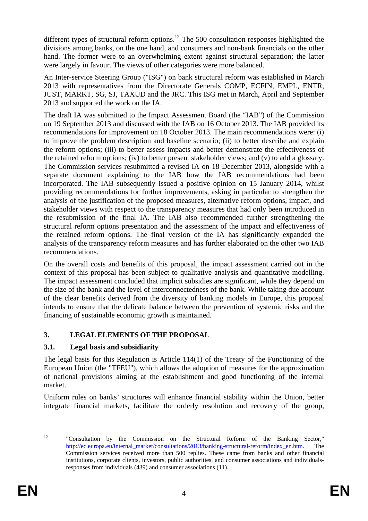different types of structural reform options.<sup>12</sup> The 500 consultation responses highlighted the divisions among banks, on the one hand, and consumers and non-bank financials on the other hand. The former were to an overwhelming extent against structural separation; the latter were largely in favour. The views of other categories were more balanced.

An Inter-service Steering Group ("ISG") on bank structural reform was established in March 2013 with representatives from the Directorate Generals COMP, ECFIN, EMPL, ENTR, JUST, MARKT, SG, SJ, TAXUD and the JRC. This ISG met in March, April and September 2013 and supported the work on the IA.

The draft IA was submitted to the Impact Assessment Board (the "IAB") of the Commission on 19 September 2013 and discussed with the IAB on 16 October 2013. The IAB provided its recommendations for improvement on 18 October 2013. The main recommendations were: (i) to improve the problem description and baseline scenario; (ii) to better describe and explain the reform options; (iii) to better assess impacts and better demonstrate the effectiveness of the retained reform options; (iv) to better present stakeholder views; and (v) to add a glossary. The Commission services resubmitted a revised IA on 18 December 2013, alongside with a separate document explaining to the IAB how the IAB recommendations had been incorporated. The IAB subsequently issued a positive opinion on 15 January 2014, whilst providing recommendations for further improvements, asking in particular to strengthen the analysis of the justification of the proposed measures, alternative reform options, impact, and stakeholder views with respect to the transparency measures that had only been introduced in the resubmission of the final IA. The IAB also recommended further strengthening the structural reform options presentation and the assessment of the impact and effectiveness of the retained reform options. The final version of the IA has significantly expanded the analysis of the transparency reform measures and has further elaborated on the other two IAB recommendations.

On the overall costs and benefits of this proposal, the impact assessment carried out in the context of this proposal has been subject to qualitative analysis and quantitative modelling. The impact assessment concluded that implicit subsidies are significant, while they depend on the size of the bank and the level of interconnectedness of the bank. While taking due account of the clear benefits derived from the diversity of banking models in Europe, this proposal intends to ensure that the delicate balance between the prevention of systemic risks and the financing of sustainable economic growth is maintained.

# **3. LEGAL ELEMENTS OF THE PROPOSAL**

# **3.1. Legal basis and subsidiarity**

The legal basis for this Regulation is Article 114(1) of the Treaty of the Functioning of the European Union (the "TFEU"), which allows the adoption of measures for the approximation of national provisions aiming at the establishment and good functioning of the internal market.

Uniform rules on banks' structures will enhance financial stability within the Union, better integrate financial markets, facilitate the orderly resolution and recovery of the group,

 $12$ 12 "Consultation by the Commission on the Structural Reform of the Banking Sector," [http://ec.europa.eu/internal\\_market/consultat](http://ec.europa.eu/internal_market/consultations/2013/banking-structural-reform/index_en.htm)ions/2013/banking-structural-reform/index\_en.htm. The Commission services received more than 500 replies. These came from banks and other financial institutions, corporate clients, investors, public authorities, and consumer associations and individualsresponses from individuals (439) and consumer associations (11).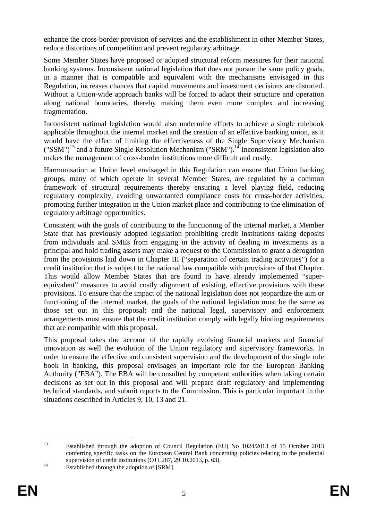enhance the cross-border provision of services and the establishment in other Member States, reduce distortions of competition and prevent regulatory arbitrage.

Some Member States have proposed or adopted structural reform measures for their national banking systems. Inconsistent national legislation that does not pursue the same policy goals, in a manner that is compatible and equivalent with the mechanisms envisaged in this Regulation, increases chances that capital movements and investment decisions are distorted. Without a Union-wide approach banks will be forced to adapt their structure and operation along national boundaries, thereby making them even more complex and increasing fragmentation.

Inconsistent national legislation would also undermine efforts to achieve a single rulebook applicable throughout the internal market and the creation of an effective banking union, as it would have the effect of limiting the effectiveness of the Single Supervisory Mechanism  $({\rm "SSM\,})^{13}$  and a future Single Resolution Mechanism ("SRM").<sup>14</sup> Inconsistent legislation also makes the management of cross-border institutions more difficult and costly.

Harmonisation at Union level envisaged in this Regulation can ensure that Union banking groups, many of which operate in several Member States, are regulated by a common framework of structural requirements thereby ensuring a level playing field, reducing regulatory complexity, avoiding unwarranted compliance costs for cross-border activities, promoting further integration in the Union market place and contributing to the elimination of regulatory arbitrage opportunities.

Consistent with the goals of contributing to the functioning of the internal market, a Member State that has previously adopted legislation prohibiting credit institutions taking deposits from individuals and SMEs from engaging in the activity of dealing in investments as a principal and hold trading assets may make a request to the Commission to grant a derogation from the provisions laid down in Chapter III ("separation of certain trading activities") for a credit institution that is subject to the national law compatible with provisions of that Chapter. This would allow Member States that are found to have already implemented "superequivalent" measures to avoid costly alignment of existing, effective provisions with these provisions. To ensure that the impact of the national legislation does not jeopardize the aim or functioning of the internal market, the goals of the national legislation must be the same as those set out in this proposal; and the national legal, supervisory and enforcement arrangements must ensure that the credit institution comply with legally binding requirements that are compatible with this proposal.

This proposal takes due account of the rapidly evolving financial markets and financial innovation as well the evolution of the Union regulatory and supervisory frameworks. In order to ensure the effective and consistent supervision and the development of the single rule book in banking, this proposal envisages an important role for the European Banking Authority ("EBA"). The EBA will be consulted by competent authorities when taking certain decisions as set out in this proposal and will prepare draft regulatory and implementing technical standards, and submit reports to the Commission. This is particular important in the situations described in Articles 9, 10, 13 and 21.

 $13$ 13 Established through the adoption of Council Regulation (EU) No 1024/2013 of 15 October 2013 conferring specific tasks on the European Central Bank concerning policies relating to the prudential supervision of credit institutions (OJ L287, 29.10.2013, p. 63).<br>Established through the adoption of [SRM].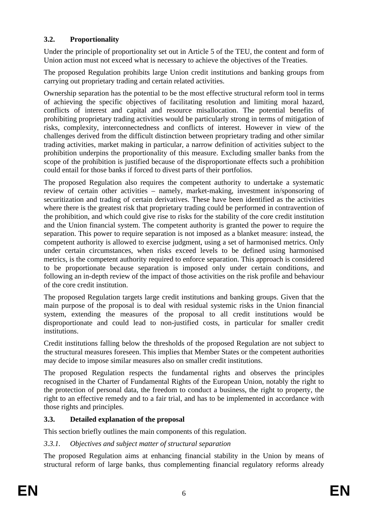# **3.2. Proportionality**

Under the principle of proportionality set out in Article 5 of the TEU, the content and form of Union action must not exceed what is necessary to achieve the objectives of the Treaties.

The proposed Regulation prohibits large Union credit institutions and banking groups from carrying out proprietary trading and certain related activities.

Ownership separation has the potential to be the most effective structural reform tool in terms of achieving the specific objectives of facilitating resolution and limiting moral hazard, conflicts of interest and capital and resource misallocation. The potential benefits of prohibiting proprietary trading activities would be particularly strong in terms of mitigation of risks, complexity, interconnectedness and conflicts of interest. However in view of the challenges derived from the difficult distinction between proprietary trading and other similar trading activities, market making in particular, a narrow definition of activities subject to the prohibition underpins the proportionality of this measure. Excluding smaller banks from the scope of the prohibition is justified because of the disproportionate effects such a prohibition could entail for those banks if forced to divest parts of their portfolios.

The proposed Regulation also requires the competent authority to undertake a systematic review of certain other activities – namely, market-making, investment in/sponsoring of securitization and trading of certain derivatives. These have been identified as the activities where there is the greatest risk that proprietary trading could be performed in contravention of the prohibition, and which could give rise to risks for the stability of the core credit institution and the Union financial system. The competent authority is granted the power to require the separation. This power to require separation is not imposed as a blanket measure: instead, the competent authority is allowed to exercise judgment, using a set of harmonised metrics. Only under certain circumstances, when risks exceed levels to be defined using harmonised metrics, is the competent authority required to enforce separation. This approach is considered to be proportionate because separation is imposed only under certain conditions, and following an in-depth review of the impact of those activities on the risk profile and behaviour of the core credit institution.

The proposed Regulation targets large credit institutions and banking groups. Given that the main purpose of the proposal is to deal with residual systemic risks in the Union financial system, extending the measures of the proposal to all credit institutions would be disproportionate and could lead to non-justified costs, in particular for smaller credit institutions.

Credit institutions falling below the thresholds of the proposed Regulation are not subject to the structural measures foreseen. This implies that Member States or the competent authorities may decide to impose similar measures also on smaller credit institutions.

The proposed Regulation respects the fundamental rights and observes the principles recognised in the Charter of Fundamental Rights of the European Union, notably the right to the protection of personal data, the freedom to conduct a business, the right to property, the right to an effective remedy and to a fair trial, and has to be implemented in accordance with those rights and principles.

# **3.3. Detailed explanation of the proposal**

This section briefly outlines the main components of this regulation.

# *3.3.1. Objectives and subject matter of structural separation*

The proposed Regulation aims at enhancing financial stability in the Union by means of structural reform of large banks, thus complementing financial regulatory reforms already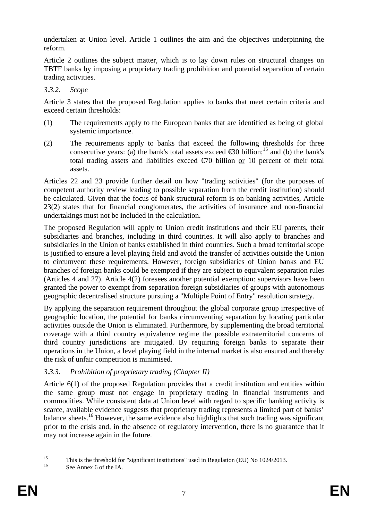undertaken at Union level. Article 1 outlines the aim and the objectives underpinning the reform.

Article 2 outlines the subject matter, which is to lay down rules on structural changes on TBTF banks by imposing a proprietary trading prohibition and potential separation of certain trading activities.

### *3.3.2. Scope*

Article 3 states that the proposed Regulation applies to banks that meet certain criteria and exceed certain thresholds:

- (1) The requirements apply to the European banks that are identified as being of global systemic importance.
- (2) The requirements apply to banks that exceed the following thresholds for three consecutive years: (a) the bank's total assets exceed  $\epsilon$ 30 billion;<sup>15</sup> and (b) the bank's total trading assets and liabilities exceed  $\epsilon$  to billion or 10 percent of their total assets.

Articles 22 and 23 provide further detail on how "trading activities" (for the purposes of competent authority review leading to possible separation from the credit institution) should be calculated. Given that the focus of bank structural reform is on banking activities, Article 23(2) states that for financial conglomerates, the activities of insurance and non-financial undertakings must not be included in the calculation.

The proposed Regulation will apply to Union credit institutions and their EU parents, their subsidiaries and branches, including in third countries. It will also apply to branches and subsidiaries in the Union of banks established in third countries. Such a broad territorial scope is justified to ensure a level playing field and avoid the transfer of activities outside the Union to circumvent these requirements. However, foreign subsidiaries of Union banks and EU branches of foreign banks could be exempted if they are subject to equivalent separation rules (Articles 4 and 27). Article 4(2) foresees another potential exemption: supervisors have been granted the power to exempt from separation foreign subsidiaries of groups with autonomous geographic decentralised structure pursuing a "Multiple Point of Entry" resolution strategy.

By applying the separation requirement throughout the global corporate group irrespective of geographic location, the potential for banks circumventing separation by locating particular activities outside the Union is eliminated. Furthermore, by supplementing the broad territorial coverage with a third country equivalence regime the possible extraterritorial concerns of third country jurisdictions are mitigated. By requiring foreign banks to separate their operations in the Union, a level playing field in the internal market is also ensured and thereby the risk of unfair competition is minimised.

# *3.3.3. Prohibition of proprietary trading (Chapter II)*

Article 6(1) of the proposed Regulation provides that a credit institution and entities within the same group must not engage in proprietary trading in financial instruments and commodities. While consistent data at Union level with regard to specific banking activity is scarce, available evidence suggests that proprietary trading represents a limited part of banks' balance sheets.<sup>16</sup> However, the same evidence also highlights that such trading was significant prior to the crisis and, in the absence of regulatory intervention, there is no guarantee that it may not increase again in the future.

 $15$ <sup>15</sup> This is the threshold for "significant institutions" used in Regulation (EU) No 1024/2013.<br><sup>16</sup> See Annex 6 of the IA.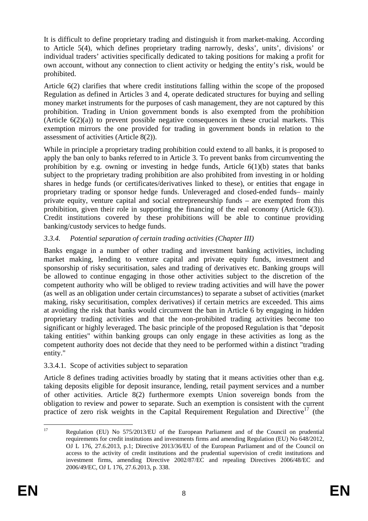It is difficult to define proprietary trading and distinguish it from market-making. According to Article 5(4), which defines proprietary trading narrowly, desks', units', divisions' or individual traders' activities specifically dedicated to taking positions for making a profit for own account, without any connection to client activity or hedging the entity's risk, would be prohibited.

Article 6(2) clarifies that where credit institutions falling within the scope of the proposed Regulation as defined in Articles 3 and 4, operate dedicated structures for buying and selling money market instruments for the purposes of cash management, they are not captured by this prohibition. Trading in Union government bonds is also exempted from the prohibition (Article  $6(2)(a)$ ) to prevent possible negative consequences in these crucial markets. This exemption mirrors the one provided for trading in government bonds in relation to the assessment of activities (Article 8(2)).

While in principle a proprietary trading prohibition could extend to all banks, it is proposed to apply the ban only to banks referred to in Article 3. To prevent banks from circumventing the prohibition by e.g. owning or investing in hedge funds, Article  $6(1)(b)$  states that banks subject to the proprietary trading prohibition are also prohibited from investing in or holding shares in hedge funds (or certificates/derivatives linked to these), or entities that engage in proprietary trading or sponsor hedge funds. Unleveraged and closed-ended funds– mainly private equity, venture capital and social entrepreneurship funds – are exempted from this prohibition, given their role in supporting the financing of the real economy (Article 6(3)). Credit institutions covered by these prohibitions will be able to continue providing banking/custody services to hedge funds.

# *3.3.4. Potential separation of certain trading activities (Chapter III)*

Banks engage in a number of other trading and investment banking activities, including market making, lending to venture capital and private equity funds, investment and sponsorship of risky securitisation, sales and trading of derivatives etc. Banking groups will be allowed to continue engaging in those other activities subject to the discretion of the competent authority who will be obliged to review trading activities and will have the power (as well as an obligation under certain circumstances) to separate a subset of activities (market making, risky securitisation, complex derivatives) if certain metrics are exceeded. This aims at avoiding the risk that banks would circumvent the ban in Article 6 by engaging in hidden proprietary trading activities and that the non-prohibited trading activities become too significant or highly leveraged. The basic principle of the proposed Regulation is that "deposit taking entities" within banking groups can only engage in these activities as long as the competent authority does not decide that they need to be performed within a distinct "trading entity."

# 3.3.4.1. Scope of activities subject to separation

Article 8 defines trading activities broadly by stating that it means activities other than e.g. taking deposits eligible for deposit insurance, lending, retail payment services and a number of other activities. Article 8(2) furthermore exempts Union sovereign bonds from the obligation to review and power to separate. Such an exemption is consistent with the current practice of zero risk weights in the Capital Requirement Regulation and Directive<sup>17</sup> (the

<sup>17</sup> 17 Regulation (EU) No 575/2013/EU of the European Parliament and of the Council on prudential requirements for credit institutions and investments firms and amending Regulation (EU) No 648/2012, OJ L 176, 27.6.2013, p.1; Directive 2013/36/EU of the European Parliament and of the Council on access to the activity of credit institutions and the prudential supervision of credit institutions and investment firms, amending Directive 2002/87/EC and repealing Directives 2006/48/EC and 2006/49/EC, OJ L 176, 27.6.2013, p. 338.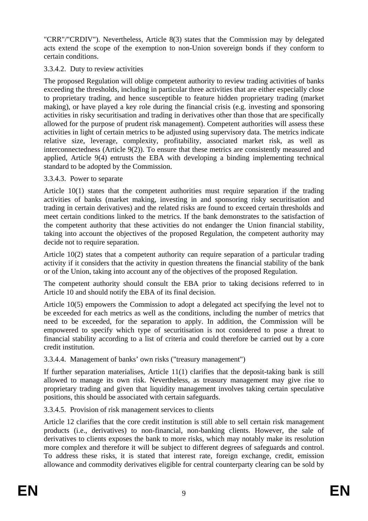"CRR"/"CRDIV"). Nevertheless, Article 8(3) states that the Commission may by delegated acts extend the scope of the exemption to non-Union sovereign bonds if they conform to certain conditions.

# 3.3.4.2. Duty to review activities

The proposed Regulation will oblige competent authority to review trading activities of banks exceeding the thresholds, including in particular three activities that are either especially close to proprietary trading, and hence susceptible to feature hidden proprietary trading (market making), or have played a key role during the financial crisis (e.g. investing and sponsoring activities in risky securitisation and trading in derivatives other than those that are specifically allowed for the purpose of prudent risk management). Competent authorities will assess these activities in light of certain metrics to be adjusted using supervisory data. The metrics indicate relative size, leverage, complexity, profitability, associated market risk, as well as interconnectedness (Article 9(2)). To ensure that these metrics are consistently measured and applied, Article 9(4) entrusts the EBA with developing a binding implementing technical standard to be adopted by the Commission.

### 3.3.4.3. Power to separate

Article 10(1) states that the competent authorities must require separation if the trading activities of banks (market making, investing in and sponsoring risky securitisation and trading in certain derivatives) and the related risks are found to exceed certain thresholds and meet certain conditions linked to the metrics. If the bank demonstrates to the satisfaction of the competent authority that these activities do not endanger the Union financial stability, taking into account the objectives of the proposed Regulation, the competent authority may decide not to require separation.

Article 10(2) states that a competent authority can require separation of a particular trading activity if it considers that the activity in question threatens the financial stability of the bank or of the Union, taking into account any of the objectives of the proposed Regulation.

The competent authority should consult the EBA prior to taking decisions referred to in Article 10 and should notify the EBA of its final decision.

Article 10(5) empowers the Commission to adopt a delegated act specifying the level not to be exceeded for each metrics as well as the conditions, including the number of metrics that need to be exceeded, for the separation to apply. In addition, the Commission will be empowered to specify which type of securitisation is not considered to pose a threat to financial stability according to a list of criteria and could therefore be carried out by a core credit institution.

# 3.3.4.4. Management of banks' own risks ("treasury management")

If further separation materialises, Article 11(1) clarifies that the deposit-taking bank is still allowed to manage its own risk. Nevertheless, as treasury management may give rise to proprietary trading and given that liquidity management involves taking certain speculative positions, this should be associated with certain safeguards.

# 3.3.4.5. Provision of risk management services to clients

Article 12 clarifies that the core credit institution is still able to sell certain risk management products (i.e., derivatives) to non-financial, non-banking clients. However, the sale of derivatives to clients exposes the bank to more risks, which may notably make its resolution more complex and therefore it will be subject to different degrees of safeguards and control. To address these risks, it is stated that interest rate, foreign exchange, credit, emission allowance and commodity derivatives eligible for central counterparty clearing can be sold by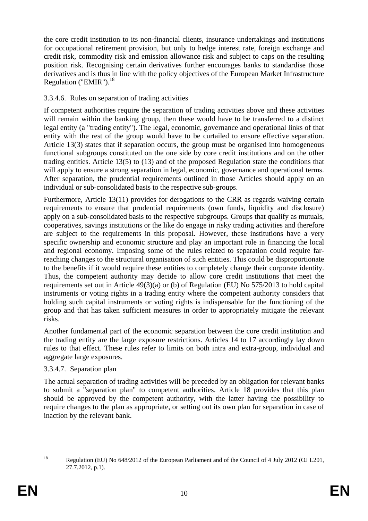the core credit institution to its non-financial clients, insurance undertakings and institutions for occupational retirement provision, but only to hedge interest rate, foreign exchange and credit risk, commodity risk and emission allowance risk and subject to caps on the resulting position risk. Recognising certain derivatives further encourages banks to standardise those derivatives and is thus in line with the policy objectives of the European Market Infrastructure Regulation ("EMIR"). $^{18}$ 

# 3.3.4.6. Rules on separation of trading activities

If competent authorities require the separation of trading activities above and these activities will remain within the banking group, then these would have to be transferred to a distinct legal entity (a "trading entity"). The legal, economic, governance and operational links of that entity with the rest of the group would have to be curtailed to ensure effective separation. Article 13(3) states that if separation occurs, the group must be organised into homogeneous functional subgroups constituted on the one side by core credit institutions and on the other trading entities. Article 13(5) to (13) and of the proposed Regulation state the conditions that will apply to ensure a strong separation in legal, economic, governance and operational terms. After separation, the prudential requirements outlined in those Articles should apply on an individual or sub-consolidated basis to the respective sub-groups.

Furthermore, Article 13(11) provides for derogations to the CRR as regards waiving certain requirements to ensure that prudential requirements (own funds, liquidity and disclosure) apply on a sub-consolidated basis to the respective subgroups. Groups that qualify as mutuals, cooperatives, savings institutions or the like do engage in risky trading activities and therefore are subject to the requirements in this proposal. However, these institutions have a very specific ownership and economic structure and play an important role in financing the local and regional economy. Imposing some of the rules related to separation could require farreaching changes to the structural organisation of such entities. This could be disproportionate to the benefits if it would require these entities to completely change their corporate identity. Thus, the competent authority may decide to allow core credit institutions that meet the requirements set out in Article 49(3)(a) or (b) of Regulation (EU) No 575/2013 to hold capital instruments or voting rights in a trading entity where the competent authority considers that holding such capital instruments or voting rights is indispensable for the functioning of the group and that has taken sufficient measures in order to appropriately mitigate the relevant risks.

Another fundamental part of the economic separation between the core credit institution and the trading entity are the large exposure restrictions. Articles 14 to 17 accordingly lay down rules to that effect. These rules refer to limits on both intra and extra-group, individual and aggregate large exposures.

# 3.3.4.7. Separation plan

The actual separation of trading activities will be preceded by an obligation for relevant banks to submit a "separation plan" to competent authorities. Article 18 provides that this plan should be approved by the competent authority, with the latter having the possibility to require changes to the plan as appropriate, or setting out its own plan for separation in case of inaction by the relevant bank.

 $\frac{1}{2}$ 18 Regulation (EU) No 648/2012 of the European Parliament and of the Council of 4 July 2012 (OJ L201, 27.7.2012, p.1).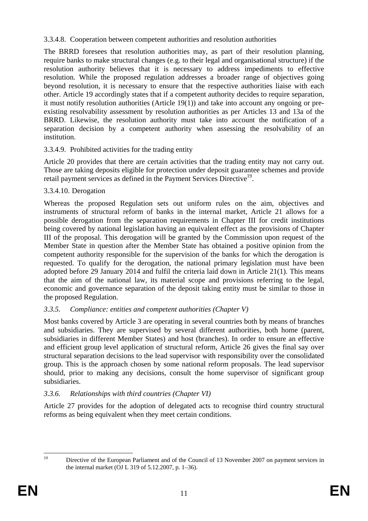3.3.4.8. Cooperation between competent authorities and resolution authorities

The BRRD foresees that resolution authorities may, as part of their resolution planning, require banks to make structural changes (e.g. to their legal and organisational structure) if the resolution authority believes that it is necessary to address impediments to effective resolution. While the proposed regulation addresses a broader range of objectives going beyond resolution, it is necessary to ensure that the respective authorities liaise with each other. Article 19 accordingly states that if a competent authority decides to require separation, it must notify resolution authorities (Article 19(1)) and take into account any ongoing or preexisting resolvability assessment by resolution authorities as per Articles 13 and 13a of the BRRD. Likewise, the resolution authority must take into account the notification of a separation decision by a competent authority when assessing the resolvability of an institution.

# 3.3.4.9. Prohibited activities for the trading entity

Article 20 provides that there are certain activities that the trading entity may not carry out. Those are taking deposits eligible for protection under deposit guarantee schemes and provide retail payment services as defined in the Payment Services Directive<sup>19</sup>.

# 3.3.4.10. Derogation

Whereas the proposed Regulation sets out uniform rules on the aim, objectives and instruments of structural reform of banks in the internal market, Article 21 allows for a possible derogation from the separation requirements in Chapter III for credit institutions being covered by national legislation having an equivalent effect as the provisions of Chapter III of the proposal. This derogation will be granted by the Commission upon request of the Member State in question after the Member State has obtained a positive opinion from the competent authority responsible for the supervision of the banks for which the derogation is requested. To qualify for the derogation, the national primary legislation must have been adopted before 29 January 2014 and fulfil the criteria laid down in Article 21(1). This means that the aim of the national law, its material scope and provisions referring to the legal, economic and governance separation of the deposit taking entity must be similar to those in the proposed Regulation.

# *3.3.5. Compliance: entities and competent authorities (Chapter V)*

Most banks covered by Article 3 are operating in several countries both by means of branches and subsidiaries. They are supervised by several different authorities, both home (parent, subsidiaries in different Member States) and host (branches). In order to ensure an effective and efficient group level application of structural reform, Article 26 gives the final say over structural separation decisions to the lead supervisor with responsibility over the consolidated group. This is the approach chosen by some national reform proposals. The lead supervisor should, prior to making any decisions, consult the home supervisor of significant group subsidiaries.

# *3.3.6. Relationships with third countries (Chapter VI)*

Article 27 provides for the adoption of delegated acts to recognise third country structural reforms as being equivalent when they meet certain conditions.

 $10$ 

Directive of the European Parliament and of the Council of 13 November 2007 on payment services in the internal market (OJ L 319 of 5.12.2007, p. 1–36).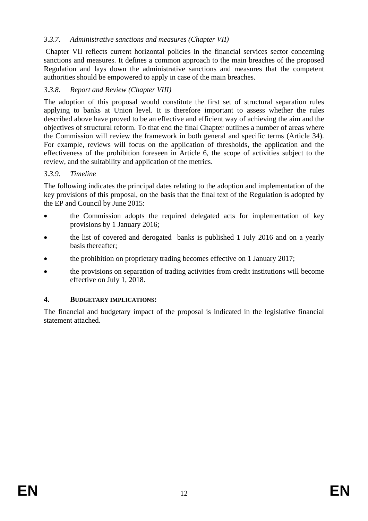# *3.3.7. Administrative sanctions and measures (Chapter VII)*

 Chapter VII reflects current horizontal policies in the financial services sector concerning sanctions and measures. It defines a common approach to the main breaches of the proposed Regulation and lays down the administrative sanctions and measures that the competent authorities should be empowered to apply in case of the main breaches.

# *3.3.8. Report and Review (Chapter VIII)*

The adoption of this proposal would constitute the first set of structural separation rules applying to banks at Union level. It is therefore important to assess whether the rules described above have proved to be an effective and efficient way of achieving the aim and the objectives of structural reform. To that end the final Chapter outlines a number of areas where the Commission will review the framework in both general and specific terms (Article 34). For example, reviews will focus on the application of thresholds, the application and the effectiveness of the prohibition foreseen in Article 6, the scope of activities subject to the review, and the suitability and application of the metrics.

### *3.3.9. Timeline*

The following indicates the principal dates relating to the adoption and implementation of the key provisions of this proposal, on the basis that the final text of the Regulation is adopted by the EP and Council by June 2015:

- the Commission adopts the required delegated acts for implementation of key provisions by 1 January 2016;
- the list of covered and derogated banks is published 1 July 2016 and on a yearly basis thereafter;
- the prohibition on proprietary trading becomes effective on 1 January 2017;
- the provisions on separation of trading activities from credit institutions will become effective on July 1, 2018.

# **4. BUDGETARY IMPLICATIONS:**

The financial and budgetary impact of the proposal is indicated in the legislative financial statement attached.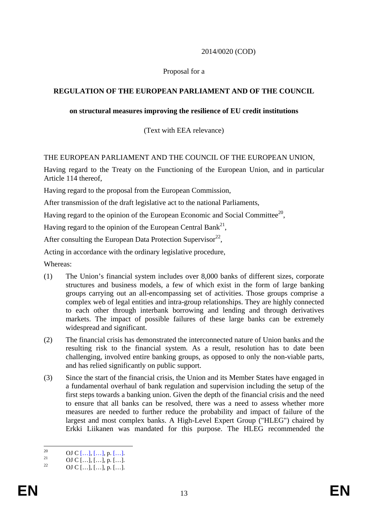# 2014/0020 (COD)

### Proposal for a

### **REGULATION OF THE EUROPEAN PARLIAMENT AND OF THE COUNCIL**

#### **on structural measures improving the resilience of EU credit institutions**

(Text with EEA relevance)

#### THE EUROPEAN PARLIAMENT AND THE COUNCIL OF THE EUROPEAN UNION,

Having regard to the Treaty on the Functioning of the European Union, and in particular Article 114 thereof,

Having regard to the proposal from the European Commission,

After transmission of the draft legislative act to the national Parliaments,

Having regard to the opinion of the European Economic and Social Committee<sup>20</sup>,

Having regard to the opinion of the European Central Bank<sup>21</sup>,

After consulting the European Data Protection Supervisor<sup>22</sup>,

Acting in accordance with the ordinary legislative procedure,

Whereas:

- (1) The Union's financial system includes over 8,000 banks of different sizes, corporate structures and business models, a few of which exist in the form of large banking groups carrying out an all-encompassing set of activities. Those groups comprise a complex web of legal entities and intra-group relationships. They are highly connected to each other through interbank borrowing and lending and through derivatives markets. The impact of possible failures of these large banks can be extremely widespread and significant.
- (2) The financial crisis has demonstrated the interconnected nature of Union banks and the resulting risk to the financial system. As a result, resolution has to date been challenging, involved entire banking groups, as opposed to only the non-viable parts, and has relied significantly on public support.
- (3) Since the start of the financial crisis, the Union and its Member States have engaged in a fundamental overhaul of bank regulation and supervision including the setup of the first steps towards a banking union. Given the depth of the financial crisis and the need to ensure that all banks can be resolved, there was a need to assess whether more measures are needed to further reduce the probability and impact of failure of the largest and most complex banks. A High-Level Expert Group ("HLEG") chaired by Erkki Liikanen was mandated for this purpose. The HLEG recommended the

 $20^{\circ}$ 20 **OJ C** […], […], p. […].<br>21 **OJ C** […], […], p. […].

OJ C  $[...]$ ,  $[...]$ , p.  $[...]$ .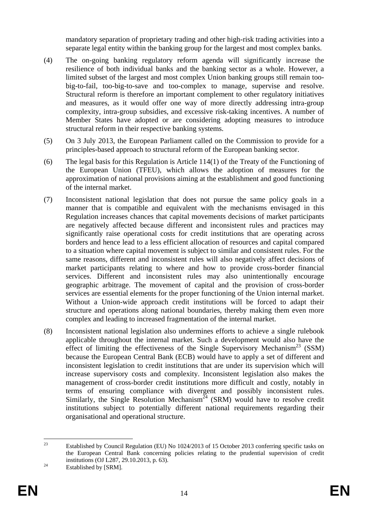mandatory separation of proprietary trading and other high-risk trading activities into a separate legal entity within the banking group for the largest and most complex banks.

- (4) The on-going banking regulatory reform agenda will significantly increase the resilience of both individual banks and the banking sector as a whole. However, a limited subset of the largest and most complex Union banking groups still remain toobig-to-fail, too-big-to-save and too-complex to manage, supervise and resolve. Structural reform is therefore an important complement to other regulatory initiatives and measures, as it would offer one way of more directly addressing intra-group complexity, intra-group subsidies, and excessive risk-taking incentives. A number of Member States have adopted or are considering adopting measures to introduce structural reform in their respective banking systems.
- (5) On 3 July 2013, the European Parliament called on the Commission to provide for a principles-based approach to structural reform of the European banking sector.
- (6) The legal basis for this Regulation is Article 114(1) of the Treaty of the Functioning of the European Union (TFEU), which allows the adoption of measures for the approximation of national provisions aiming at the establishment and good functioning of the internal market.
- (7) Inconsistent national legislation that does not pursue the same policy goals in a manner that is compatible and equivalent with the mechanisms envisaged in this Regulation increases chances that capital movements decisions of market participants are negatively affected because different and inconsistent rules and practices may significantly raise operational costs for credit institutions that are operating across borders and hence lead to a less efficient allocation of resources and capital compared to a situation where capital movement is subject to similar and consistent rules. For the same reasons, different and inconsistent rules will also negatively affect decisions of market participants relating to where and how to provide cross-border financial services. Different and inconsistent rules may also unintentionally encourage geographic arbitrage. The movement of capital and the provision of cross-border services are essential elements for the proper functioning of the Union internal market. Without a Union-wide approach credit institutions will be forced to adapt their structure and operations along national boundaries, thereby making them even more complex and leading to increased fragmentation of the internal market.
- (8) Inconsistent national legislation also undermines efforts to achieve a single rulebook applicable throughout the internal market. Such a development would also have the effect of limiting the effectiveness of the Single Supervisory Mechanism<sup>23</sup> (SSM) because the European Central Bank (ECB) would have to apply a set of different and inconsistent legislation to credit institutions that are under its supervision which will increase supervisory costs and complexity. Inconsistent legislation also makes the management of cross-border credit institutions more difficult and costly, notably in terms of ensuring compliance with divergent and possibly inconsistent rules. Similarly, the Single Resolution Mechanism<sup> $\frac{5}{4}$ </sup> (SRM) would have to resolve credit institutions subject to potentially different national requirements regarding their organisational and operational structure.

 $23$ 23 Established by Council Regulation (EU) No 1024/2013 of 15 October 2013 conferring specific tasks on the European Central Bank concerning policies relating to the prudential supervision of credit institutions (OJ L287, 29.10.2013, p. 63).<br>Established by [SRM].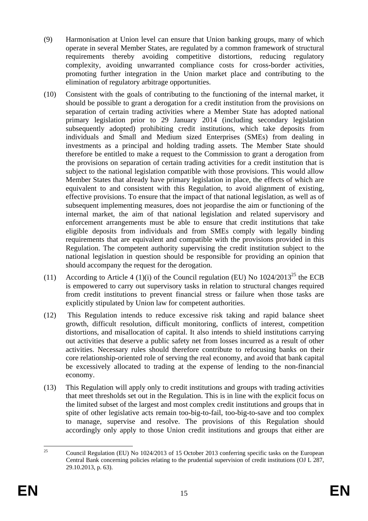- (9) Harmonisation at Union level can ensure that Union banking groups, many of which operate in several Member States, are regulated by a common framework of structural requirements thereby avoiding competitive distortions, reducing regulatory complexity, avoiding unwarranted compliance costs for cross-border activities, promoting further integration in the Union market place and contributing to the elimination of regulatory arbitrage opportunities.
- (10) Consistent with the goals of contributing to the functioning of the internal market, it should be possible to grant a derogation for a credit institution from the provisions on separation of certain trading activities where a Member State has adopted national primary legislation prior to 29 January 2014 (including secondary legislation subsequently adopted) prohibiting credit institutions, which take deposits from individuals and Small and Medium sized Enterprises (SMEs) from dealing in investments as a principal and holding trading assets. The Member State should therefore be entitled to make a request to the Commission to grant a derogation from the provisions on separation of certain trading activities for a credit institution that is subject to the national legislation compatible with those provisions. This would allow Member States that already have primary legislation in place, the effects of which are equivalent to and consistent with this Regulation, to avoid alignment of existing, effective provisions. To ensure that the impact of that national legislation, as well as of subsequent implementing measures, does not jeopardise the aim or functioning of the internal market, the aim of that national legislation and related supervisory and enforcement arrangements must be able to ensure that credit institutions that take eligible deposits from individuals and from SMEs comply with legally binding requirements that are equivalent and compatible with the provisions provided in this Regulation. The competent authority supervising the credit institution subject to the national legislation in question should be responsible for providing an opinion that should accompany the request for the derogation.
- (11) According to Article 4 (1)(i) of the Council regulation (EU) No  $1024/2013^{25}$  the ECB is empowered to carry out supervisory tasks in relation to structural changes required from credit institutions to prevent financial stress or failure when those tasks are explicitly stipulated by Union law for competent authorities.
- (12) This Regulation intends to reduce excessive risk taking and rapid balance sheet growth, difficult resolution, difficult monitoring, conflicts of interest, competition distortions, and misallocation of capital. It also intends to shield institutions carrying out activities that deserve a public safety net from losses incurred as a result of other activities. Necessary rules should therefore contribute to refocusing banks on their core relationship-oriented role of serving the real economy, and avoid that bank capital be excessively allocated to trading at the expense of lending to the non-financial economy.
- (13) This Regulation will apply only to credit institutions and groups with trading activities that meet thresholds set out in the Regulation. This is in line with the explicit focus on the limited subset of the largest and most complex credit institutions and groups that in spite of other legislative acts remain too-big-to-fail, too-big-to-save and too complex to manage, supervise and resolve. The provisions of this Regulation should accordingly only apply to those Union credit institutions and groups that either are

 $25$ 25 Council Regulation (EU) No 1024/2013 of 15 October 2013 conferring specific tasks on the European Central Bank concerning policies relating to the prudential supervision of credit institutions (OJ L 287, 29.10.2013, p. 63).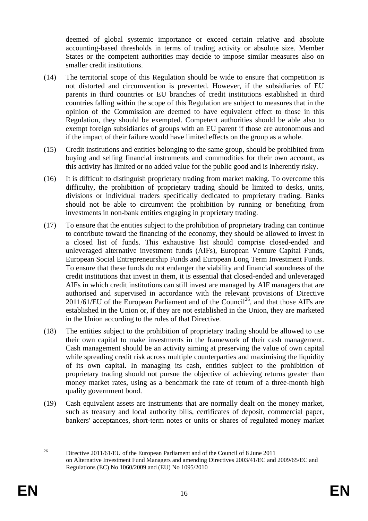deemed of global systemic importance or exceed certain relative and absolute accounting-based thresholds in terms of trading activity or absolute size. Member States or the competent authorities may decide to impose similar measures also on smaller credit institutions.

- (14) The territorial scope of this Regulation should be wide to ensure that competition is not distorted and circumvention is prevented. However, if the subsidiaries of EU parents in third countries or EU branches of credit institutions established in third countries falling within the scope of this Regulation are subject to measures that in the opinion of the Commission are deemed to have equivalent effect to those in this Regulation, they should be exempted. Competent authorities should be able also to exempt foreign subsidiaries of groups with an EU parent if those are autonomous and if the impact of their failure would have limited effects on the group as a whole.
- (15) Credit institutions and entities belonging to the same group, should be prohibited from buying and selling financial instruments and commodities for their own account, as this activity has limited or no added value for the public good and is inherently risky.
- (16) It is difficult to distinguish proprietary trading from market making. To overcome this difficulty, the prohibition of proprietary trading should be limited to desks, units, divisions or individual traders specifically dedicated to proprietary trading. Banks should not be able to circumvent the prohibition by running or benefiting from investments in non-bank entities engaging in proprietary trading.
- (17) To ensure that the entities subject to the prohibition of proprietary trading can continue to contribute toward the financing of the economy, they should be allowed to invest in a closed list of funds. This exhaustive list should comprise closed-ended and unleveraged alternative investment funds (AIFs), European Venture Capital Funds, European Social Entrepreneurship Funds and European Long Term Investment Funds. To ensure that these funds do not endanger the viability and financial soundness of the credit institutions that invest in them, it is essential that closed-ended and unleveraged AIFs in which credit institutions can still invest are managed by AIF managers that are authorised and supervised in accordance with the relevant provisions of Directive  $2011/61/EU$  of the European Parliament and of the Council<sup>26</sup>, and that those AIFs are established in the Union or, if they are not established in the Union, they are marketed in the Union according to the rules of that Directive.
- (18) The entities subject to the prohibition of proprietary trading should be allowed to use their own capital to make investments in the framework of their cash management. Cash management should be an activity aiming at preserving the value of own capital while spreading credit risk across multiple counterparties and maximising the liquidity of its own capital. In managing its cash, entities subject to the prohibition of proprietary trading should not pursue the objective of achieving returns greater than money market rates, using as a benchmark the rate of return of a three-month high quality government bond.
- (19) Cash equivalent assets are instruments that are normally dealt on the money market, such as treasury and local authority bills, certificates of deposit, commercial paper, bankers' acceptances, short-term notes or units or shares of regulated money market

 $26$ 26 Directive 2011/61/EU of the European Parliament and of the Council of 8 June 2011 on Alternative Investment Fund Managers and amending Directives 2003/41/EC and 2009/65/EC and Regulations (EC) No 1060/2009 and (EU) No 1095/2010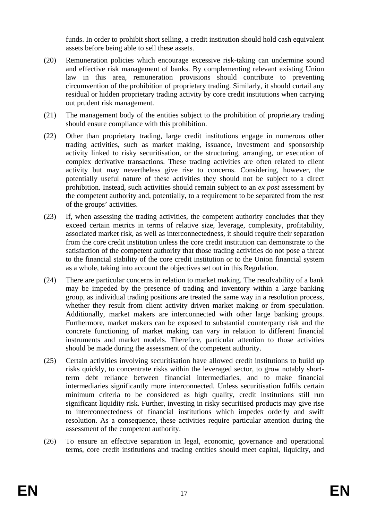funds. In order to prohibit short selling, a credit institution should hold cash equivalent assets before being able to sell these assets.

- (20) Remuneration policies which encourage excessive risk-taking can undermine sound and effective risk management of banks. By complementing relevant existing Union law in this area, remuneration provisions should contribute to preventing circumvention of the prohibition of proprietary trading. Similarly, it should curtail any residual or hidden proprietary trading activity by core credit institutions when carrying out prudent risk management.
- (21) The management body of the entities subject to the prohibition of proprietary trading should ensure compliance with this prohibition.
- (22) Other than proprietary trading, large credit institutions engage in numerous other trading activities, such as market making, issuance, investment and sponsorship activity linked to risky securitisation, or the structuring, arranging, or execution of complex derivative transactions. These trading activities are often related to client activity but may nevertheless give rise to concerns. Considering, however, the potentially useful nature of these activities they should not be subject to a direct prohibition. Instead, such activities should remain subject to an *ex post* assessment by the competent authority and, potentially, to a requirement to be separated from the rest of the groups' activities.
- (23) If, when assessing the trading activities, the competent authority concludes that they exceed certain metrics in terms of relative size, leverage, complexity, profitability, associated market risk, as well as interconnectedness, it should require their separation from the core credit institution unless the core credit institution can demonstrate to the satisfaction of the competent authority that those trading activities do not pose a threat to the financial stability of the core credit institution or to the Union financial system as a whole, taking into account the objectives set out in this Regulation.
- (24) There are particular concerns in relation to market making. The resolvability of a bank may be impeded by the presence of trading and inventory within a large banking group, as individual trading positions are treated the same way in a resolution process, whether they result from client activity driven market making or from speculation. Additionally, market makers are interconnected with other large banking groups. Furthermore, market makers can be exposed to substantial counterparty risk and the concrete functioning of market making can vary in relation to different financial instruments and market models. Therefore, particular attention to those activities should be made during the assessment of the competent authority.
- (25) Certain activities involving securitisation have allowed credit institutions to build up risks quickly, to concentrate risks within the leveraged sector, to grow notably shortterm debt reliance between financial intermediaries, and to make financial intermediaries significantly more interconnected. Unless securitisation fulfils certain minimum criteria to be considered as high quality, credit institutions still run significant liquidity risk. Further, investing in risky securitised products may give rise to interconnectedness of financial institutions which impedes orderly and swift resolution. As a consequence, these activities require particular attention during the assessment of the competent authority.
- (26) To ensure an effective separation in legal, economic, governance and operational terms, core credit institutions and trading entities should meet capital, liquidity, and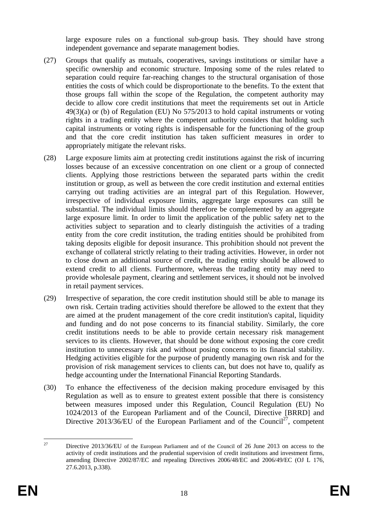large exposure rules on a functional sub-group basis. They should have strong independent governance and separate management bodies.

- (27) Groups that qualify as mutuals, cooperatives, savings institutions or similar have a specific ownership and economic structure. Imposing some of the rules related to separation could require far-reaching changes to the structural organisation of those entities the costs of which could be disproportionate to the benefits. To the extent that those groups fall within the scope of the Regulation, the competent authority may decide to allow core credit institutions that meet the requirements set out in Article 49(3)(a) or (b) of Regulation (EU) No 575/2013 to hold capital instruments or voting rights in a trading entity where the competent authority considers that holding such capital instruments or voting rights is indispensable for the functioning of the group and that the core credit institution has taken sufficient measures in order to appropriately mitigate the relevant risks.
- (28) Large exposure limits aim at protecting credit institutions against the risk of incurring losses because of an excessive concentration on one client or a group of connected clients. Applying those restrictions between the separated parts within the credit institution or group, as well as between the core credit institution and external entities carrying out trading activities are an integral part of this Regulation. However, irrespective of individual exposure limits, aggregate large exposures can still be substantial. The individual limits should therefore be complemented by an aggregate large exposure limit. In order to limit the application of the public safety net to the activities subject to separation and to clearly distinguish the activities of a trading entity from the core credit institution, the trading entities should be prohibited from taking deposits eligible for deposit insurance. This prohibition should not prevent the exchange of collateral strictly relating to their trading activities. However, in order not to close down an additional source of credit, the trading entity should be allowed to extend credit to all clients. Furthermore, whereas the trading entity may need to provide wholesale payment, clearing and settlement services, it should not be involved in retail payment services.
- (29) Irrespective of separation, the core credit institution should still be able to manage its own risk. Certain trading activities should therefore be allowed to the extent that they are aimed at the prudent management of the core credit institution's capital, liquidity and funding and do not pose concerns to its financial stability. Similarly, the core credit institutions needs to be able to provide certain necessary risk management services to its clients. However, that should be done without exposing the core credit institution to unnecessary risk and without posing concerns to its financial stability. Hedging activities eligible for the purpose of prudently managing own risk and for the provision of risk management services to clients can, but does not have to, qualify as hedge accounting under the International Financial Reporting Standards.
- (30) To enhance the effectiveness of the decision making procedure envisaged by this Regulation as well as to ensure to greatest extent possible that there is consistency between measures imposed under this Regulation, Council Regulation (EU) No 1024/2013 of the European Parliament and of the Council, Directive [BRRD] and Directive 2013/36/EU of the European Parliament and of the Council<sup>27</sup>, competent

 $27$ 27 Directive 2013/36/EU of the European Parliament and of the Council of 26 June 2013 on access to the activity of credit institutions and the prudential supervision of credit institutions and investment firms, amending Directive 2002/87/EC and repealing Directives 2006/48/EC and 2006/49/EC (OJ L 176, 27.6.2013, p.338).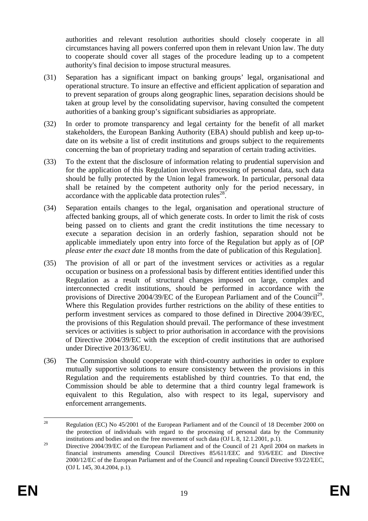authorities and relevant resolution authorities should closely cooperate in all circumstances having all powers conferred upon them in relevant Union law. The duty to cooperate should cover all stages of the procedure leading up to a competent authority's final decision to impose structural measures.

- (31) Separation has a significant impact on banking groups' legal, organisational and operational structure. To insure an effective and efficient application of separation and to prevent separation of groups along geographic lines, separation decisions should be taken at group level by the consolidating supervisor, having consulted the competent authorities of a banking group's significant subsidiaries as appropriate.
- (32) In order to promote transparency and legal certainty for the benefit of all market stakeholders, the European Banking Authority (EBA) should publish and keep up-todate on its website a list of credit institutions and groups subject to the requirements concerning the ban of proprietary trading and separation of certain trading activities.
- (33) To the extent that the disclosure of information relating to prudential supervision and for the application of this Regulation involves processing of personal data, such data should be fully protected by the Union legal framework. In particular, personal data shall be retained by the competent authority only for the period necessary, in accordance with the applicable data protection rules<sup>28</sup>.
- (34) Separation entails changes to the legal, organisation and operational structure of affected banking groups, all of which generate costs. In order to limit the risk of costs being passed on to clients and grant the credit institutions the time necessary to execute a separation decision in an orderly fashion, separation should not be applicable immediately upon entry into force of the Regulation but apply as of [*OP please enter the exact date* 18 months from the date of publication of this Regulation].
- (35) The provision of all or part of the investment services or activities as a regular occupation or business on a professional basis by different entities identified under this Regulation as a result of structural changes imposed on large, complex and interconnected credit institutions, should be performed in accordance with the provisions of Directive 2004/39/EC of the European Parliament and of the Council<sup>29</sup>. Where this Regulation provides further restrictions on the ability of these entities to perform investment services as compared to those defined in Directive 2004/39/EC, the provisions of this Regulation should prevail. The performance of these investment services or activities is subject to prior authorisation in accordance with the provisions of Directive 2004/39/EC with the exception of credit institutions that are authorised under Directive 2013/36/EU.
- (36) The Commission should cooperate with third-country authorities in order to explore mutually supportive solutions to ensure consistency between the provisions in this Regulation and the requirements established by third countries. To that end, the Commission should be able to determine that a third country legal framework is equivalent to this Regulation, also with respect to its legal, supervisory and enforcement arrangements.

<sup>28</sup> 28 Regulation (EC) No 45/2001 of the European Parliament and of the Council of 18 December 2000 on the protection of individuals with regard to the processing of personal data by the Community institutions and bodies and on the free movement of such data (OJ L 8, 12.1.2001, p.1).

<sup>&</sup>lt;sup>29</sup> Directive 2004/39/EC of the European Parliament and of the Council of 21 April 2004 on markets in financial instruments amending Council Directives 85/611/EEC and 93/6/EEC and Directive 2000/12/EC of the European Parliament and of the Council and repealing Council Directive 93/22/EEC, (OJ L 145, 30.4.2004, p.1).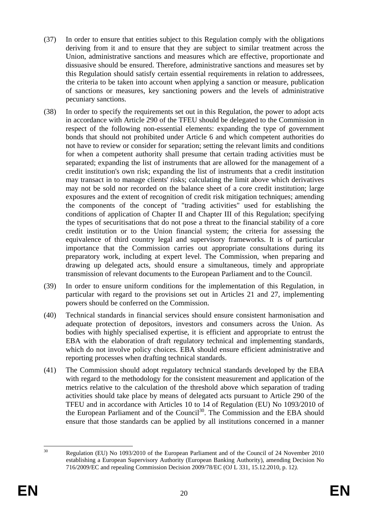- (37) In order to ensure that entities subject to this Regulation comply with the obligations deriving from it and to ensure that they are subject to similar treatment across the Union, administrative sanctions and measures which are effective, proportionate and dissuasive should be ensured. Therefore, administrative sanctions and measures set by this Regulation should satisfy certain essential requirements in relation to addressees, the criteria to be taken into account when applying a sanction or measure, publication of sanctions or measures, key sanctioning powers and the levels of administrative pecuniary sanctions.
- (38) In order to specify the requirements set out in this Regulation, the power to adopt acts in accordance with Article 290 of the TFEU should be delegated to the Commission in respect of the following non-essential elements: expanding the type of government bonds that should not prohibited under Article 6 and which competent authorities do not have to review or consider for separation; setting the relevant limits and conditions for when a competent authority shall presume that certain trading activities must be separated; expanding the list of instruments that are allowed for the management of a credit institution's own risk; expanding the list of instruments that a credit institution may transact in to manage clients' risks; calculating the limit above which derivatives may not be sold nor recorded on the balance sheet of a core credit institution; large exposures and the extent of recognition of credit risk mitigation techniques; amending the components of the concept of "trading activities" used for establishing the conditions of application of Chapter II and Chapter III of this Regulation; specifying the types of securitisations that do not pose a threat to the financial stability of a core credit institution or to the Union financial system; the criteria for assessing the equivalence of third country legal and supervisory frameworks. It is of particular importance that the Commission carries out appropriate consultations during its preparatory work, including at expert level. The Commission, when preparing and drawing up delegated acts, should ensure a simultaneous, timely and appropriate transmission of relevant documents to the European Parliament and to the Council.
- (39) In order to ensure uniform conditions for the implementation of this Regulation, in particular with regard to the provisions set out in Articles 21 and 27, implementing powers should be conferred on the Commission.
- (40) Technical standards in financial services should ensure consistent harmonisation and adequate protection of depositors, investors and consumers across the Union. As bodies with highly specialised expertise, it is efficient and appropriate to entrust the EBA with the elaboration of draft regulatory technical and implementing standards, which do not involve policy choices. EBA should ensure efficient administrative and reporting processes when drafting technical standards.
- (41) The Commission should adopt regulatory technical standards developed by the EBA with regard to the methodology for the consistent measurement and application of the metrics relative to the calculation of the threshold above which separation of trading activities should take place by means of delegated acts pursuant to Article 290 of the TFEU and in accordance with Articles 10 to 14 of Regulation (EU) No 1093/2010 of the European Parliament and of the Council<sup>30</sup>. The Commission and the EBA should ensure that those standards can be applied by all institutions concerned in a manner

 $30^{\circ}$ 

<sup>30</sup> Regulation (EU) No 1093/2010 of the European Parliament and of the Council of 24 November 2010 establishing a European Supervisory Authority (European Banking Authority), amending Decision No 716/2009/EC and repealing Commission Decision 2009/78/EC (OJ L 331, 15.12.2010, p. 12*).*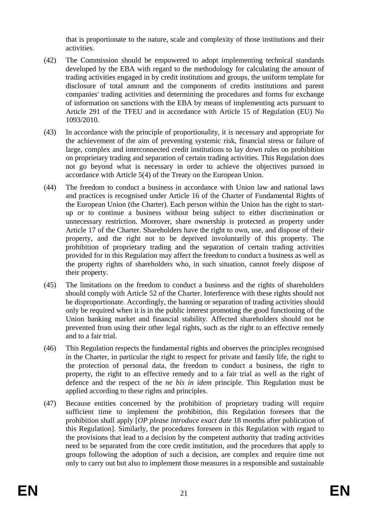that is proportionate to the nature, scale and complexity of those institutions and their activities.

- (42) The Commission should be empowered to adopt implementing technical standards developed by the EBA with regard to the methodology for calculating the amount of trading activities engaged in by credit institutions and groups, the uniform template for disclosure of total amount and the components of credits institutions and parent companies' trading activities and determining the procedures and forms for exchange of information on sanctions with the EBA by means of implementing acts pursuant to Article 291 of the TFEU and in accordance with Article 15 of Regulation (EU) No 1093/2010.
- (43) In accordance with the principle of proportionality, it is necessary and appropriate for the achievement of the aim of preventing systemic risk, financial stress or failure of large, complex and interconnected credit institutions to lay down rules on prohibition on proprietary trading and separation of certain trading activities. This Regulation does not go beyond what is necessary in order to achieve the objectives pursued in accordance with Article 5(4) of the Treaty on the European Union.
- (44) The freedom to conduct a business in accordance with Union law and national laws and practices is recognised under Article 16 of the Charter of Fundamental Rights of the European Union (the Charter). Each person within the Union has the right to startup or to continue a business without being subject to either discrimination or unnecessary restriction. Moreover, share ownership is protected as property under Article 17 of the Charter. Shareholders have the right to own, use, and dispose of their property, and the right not to be deprived involuntarily of this property. The prohibition of proprietary trading and the separation of certain trading activities provided for in this Regulation may affect the freedom to conduct a business as well as the property rights of shareholders who, in such situation, cannot freely dispose of their property.
- (45) The limitations on the freedom to conduct a business and the rights of shareholders should comply with Article 52 of the Charter. Interference with these rights should not be disproportionate. Accordingly, the banning or separation of trading activities should only be required when it is in the public interest promoting the good functioning of the Union banking market and financial stability. Affected shareholders should not be prevented from using their other legal rights, such as the right to an effective remedy and to a fair trial.
- (46) This Regulation respects the fundamental rights and observes the principles recognised in the Charter, in particular the right to respect for private and family life, the right to the protection of personal data, the freedom to conduct a business, the right to property, the right to an effective remedy and to a fair trial as well as the right of defence and the respect of the *ne bis in idem* principle. This Regulation must be applied according to these rights and principles.
- (47) Because entities concerned by the prohibition of proprietary trading will require sufficient time to implement the prohibition, this Regulation foresees that the prohibition shall apply [*OP please introduce exact date* 18 months after publication of this Regulation]. Similarly, the procedures foreseen in this Regulation with regard to the provisions that lead to a decision by the competent authority that trading activities need to be separated from the core credit institution, and the procedures that apply to groups following the adoption of such a decision, are complex and require time not only to carry out but also to implement those measures in a responsible and sustainable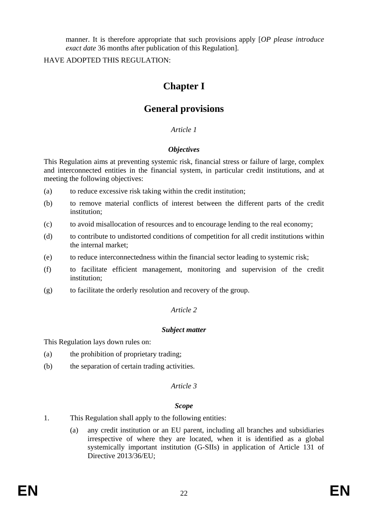manner. It is therefore appropriate that such provisions apply [*OP please introduce exact date* 36 months after publication of this Regulation].

HAVE ADOPTED THIS REGULATION:

# **Chapter I**

# **General provisions**

# *Article 1*

# *Objectives*

This Regulation aims at preventing systemic risk, financial stress or failure of large, complex and interconnected entities in the financial system, in particular credit institutions, and at meeting the following objectives:

- (a) to reduce excessive risk taking within the credit institution;
- (b) to remove material conflicts of interest between the different parts of the credit institution;
- (c) to avoid misallocation of resources and to encourage lending to the real economy;
- (d) to contribute to undistorted conditions of competition for all credit institutions within the internal market;
- (e) to reduce interconnectedness within the financial sector leading to systemic risk;
- (f) to facilitate efficient management, monitoring and supervision of the credit institution;
- (g) to facilitate the orderly resolution and recovery of the group.

# *Article 2*

# *Subject matter*

This Regulation lays down rules on:

- (a) the prohibition of proprietary trading;
- (b) the separation of certain trading activities.

# *Article 3*

# *Scope*

- 1. This Regulation shall apply to the following entities:
	- (a) any credit institution or an EU parent, including all branches and subsidiaries irrespective of where they are located, when it is identified as a global systemically important institution (G-SIIs) in application of Article 131 of Directive 2013/36/EU;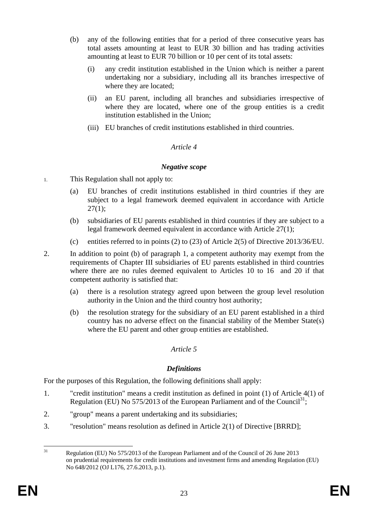- (b) any of the following entities that for a period of three consecutive years has total assets amounting at least to EUR 30 billion and has trading activities amounting at least to EUR 70 billion or 10 per cent of its total assets:
	- (i) any credit institution established in the Union which is neither a parent undertaking nor a subsidiary, including all its branches irrespective of where they are located;
	- (ii) an EU parent, including all branches and subsidiaries irrespective of where they are located, where one of the group entities is a credit institution established in the Union;
	- (iii) EU branches of credit institutions established in third countries.

### *Article 4*

### *Negative scope*

- 1. This Regulation shall not apply to:
	- (a) EU branches of credit institutions established in third countries if they are subject to a legal framework deemed equivalent in accordance with Article  $27(1)$ :
	- (b) subsidiaries of EU parents established in third countries if they are subject to a legal framework deemed equivalent in accordance with Article 27(1);
	- (c) entities referred to in points (2) to (23) of Article 2(5) of Directive 2013/36/EU.

2. In addition to point (b) of paragraph 1, a competent authority may exempt from the requirements of Chapter III subsidiaries of EU parents established in third countries where there are no rules deemed equivalent to Articles 10 to 16 and 20 if that competent authority is satisfied that:

- (a) there is a resolution strategy agreed upon between the group level resolution authority in the Union and the third country host authority;
- (b) the resolution strategy for the subsidiary of an EU parent established in a third country has no adverse effect on the financial stability of the Member State(s) where the EU parent and other group entities are established.

# *Article 5*

# *Definitions*

For the purposes of this Regulation, the following definitions shall apply:

- 1. "credit institution" means a credit institution as defined in point (1) of Article 4(1) of Regulation (EU) No 575/2013 of the European Parliament and of the Council<sup>31</sup>;
- 2. "group" means a parent undertaking and its subsidiaries;
- 3. "resolution" means resolution as defined in Article 2(1) of Directive [BRRD];

 $31$ 31 Regulation (EU) No 575/2013 of the European Parliament and of the Council of 26 June 2013 on prudential requirements for credit institutions and investment firms and amending Regulation (EU) No 648/2012 (OJ L176, 27.6.2013, p.1).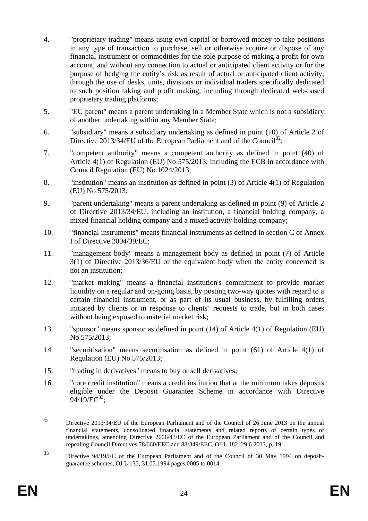- 4. "proprietary trading" means using own capital or borrowed money to take positions in any type of transaction to purchase, sell or otherwise acquire or dispose of any financial instrument or commodities for the sole purpose of making a profit for own account, and without any connection to actual or anticipated client activity or for the purpose of hedging the entity's risk as result of actual or anticipated client activity, through the use of desks, units, divisions or individual traders specifically dedicated to such position taking and profit making, including through dedicated web-based proprietary trading platforms;
- 5. "EU parent" means a parent undertaking in a Member State which is not a subsidiary of another undertaking within any Member State;
- 6. "subsidiary" means a subsidiary undertaking as defined in point (10) of Article 2 of Directive 2013/34/EU of the European Parliament and of the Council<sup>32</sup>;
- 7. "competent authority" means a competent authority as defined in point (40) of Article 4(1) of Regulation (EU) No 575/2013, including the ECB in accordance with Council Regulation (EU) No 1024/2013;
- 8. "institution" means an institution as defined in point (3) of Article 4(1) of Regulation (EU) No 575/2013;
- 9. "parent undertaking" means a parent undertaking as defined in point (9) of Article 2 of Directive 2013/34/EU, including an institution, a financial holding company, a mixed financial holding company and a mixed activity holding company;
- 10. "financial instruments" means financial instruments as defined in section C of Annex I of Directive 2004/39/EC;
- 11. "management body" means a management body as defined in point (7) of Article 3(1) of Directive 2013/36/EU or the equivalent body when the entity concerned is not an institution;
- 12. "market making" means a financial institution's commitment to provide market liquidity on a regular and on-going basis, by posting two-way quotes with regard to a certain financial instrument, or as part of its usual business, by fulfilling orders initiated by clients or in response to clients' requests to trade, but in both cases without being exposed to material market risk;
- 13. "sponsor" means sponsor as defined in point (14) of Article 4(1) of Regulation (EU) No 575/2013;
- 14. "securitisation" means securitisation as defined in point (61) of Article 4(1) of Regulation (EU) No 575/2013;
- 15. "trading in derivatives" means to buy or sell derivatives;
- 16. "core credit institution" means a credit institution that at the minimum takes deposits eligible under the Deposit Guarantee Scheme in accordance with Directive  $94/19/EC^{33}$ ;

 $32$ Directive 2013/34/EU of the European Parliament and of the Council of 26 June 2013 on the annual financial statements, consolidated financial statements and related reports of certain types of undertakings, amending Directive 2006/43/EC of the European Parliament and of the Council and repealing Council Directives 78/660/EEC and 83/349/EEC, OJ L 182, 29.6.2013, p. 19.

<sup>33</sup> Directive 94/19/EC of the European Parliament and of the Council of 30 May 1994 on depositguarantee schemes, OJ L 135, 31.05.1994 pages 0005 to 0014.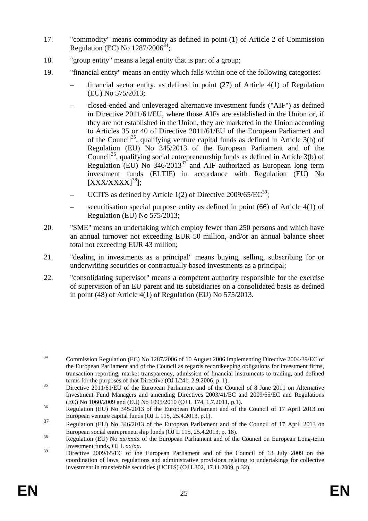- 17. "commodity" means commodity as defined in point (1) of Article 2 of Commission Regulation (EC) No  $1287/2006^{34}$ ;
- 18. "group entity" means a legal entity that is part of a group;
- 19. "financial entity" means an entity which falls within one of the following categories:
	- financial sector entity, as defined in point (27) of Article 4(1) of Regulation (EU) No 575/2013;
	- closed-ended and unleveraged alternative investment funds ("AIF") as defined in Directive 2011/61/EU, where those AIFs are established in the Union or, if they are not established in the Union, they are marketed in the Union according to Articles 35 or 40 of Directive 2011/61/EU of the European Parliament and of the Council<sup>35</sup>, qualifying venture capital funds as defined in Article 3(b) of Regulation (EU) No 345/2013 of the European Parliament and of the Council<sup>36</sup>, qualifying social entrepreneurship funds as defined in Article 3(b) of Regulation (EU) No  $346/2013^{37}$  and AIF authorized as European long term investment funds (ELTIF) in accordance with Regulation (EU) No  $[XXX/XXXX]$ <sup>38</sup>];
	- UCITS as defined by Article 1(2) of Directive  $2009/65/EC^{39}$ :
	- securitisation special purpose entity as defined in point (66) of Article 4(1) of Regulation (EU) No 575/2013;
- 20. "SME" means an undertaking which employ fewer than 250 persons and which have an annual turnover not exceeding EUR 50 million, and/or an annual balance sheet total not exceeding EUR 43 million;
- 21. "dealing in investments as a principal" means buying, selling, subscribing for or underwriting securities or contractually based investments as a principal;
- 22. "consolidating supervisor" means a competent authority responsible for the exercise of supervision of an EU parent and its subsidiaries on a consolidated basis as defined in point (48) of Article 4(1) of Regulation (EU) No 575/2013.

 $34$ 34 Commission Regulation (EC) No 1287/2006 of 10 August 2006 implementing Directive 2004/39/EC of the European Parliament and of the Council as regards recordkeeping obligations for investment firms, transaction reporting, market transparency, admission of financial instruments to trading, and defined terms for the purposes of that Directive (OJ L241, 2.9.2006, p. 1).<br><sup>35</sup> Directive 2011/61/EU of the European Parliament and of the Council of 8 June 2011 on Alternative

Investment Fund Managers and amending Directives 2003/41/EC and 2009/65/EC and Regulations

<sup>(</sup>EC) No 1060/2009 and (EU) No 1095/2010 (OJ L 174, 1.7.2011, p.1).<br><sup>36</sup> Regulation (EU) No 345/2013 of the European Parliament and of the Council of 17 April 2013 on European venture capital funds (OJ L 115, 25.4.2013, p.1).

<sup>&</sup>lt;sup>37</sup> Regulation (EU) No 346/2013 of the European Parliament and of the Council of 17 April 2013 on European social entrepreneurship funds (OJ L 115, 25.4.2013, p. 18).<br>Regulation (EU) No xx/xxxx of the European Parliament and of the Council on European Long-term

Investment funds, OJ L xx/xx.

<sup>&</sup>lt;sup>39</sup> Directive 2009/65/EC of the European Parliament and of the Council of 13 July 2009 on the coordination of laws, regulations and administrative provisions relating to undertakings for collective investment in transferable securities (UCITS) (OJ L302, 17.11.2009, p.32).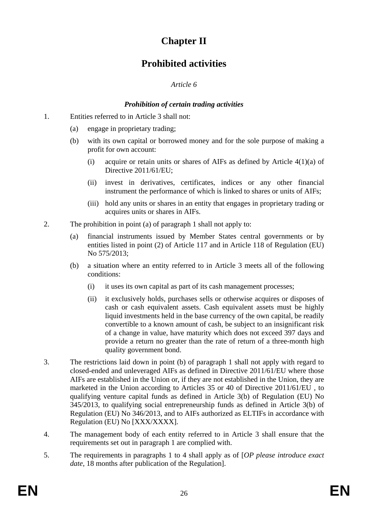# **Chapter II**

# **Prohibited activities**

# *Article 6*

# *Prohibition of certain trading activities*

- 1. Entities referred to in Article 3 shall not:
	- (a) engage in proprietary trading;
	- (b) with its own capital or borrowed money and for the sole purpose of making a profit for own account:
		- (i) acquire or retain units or shares of AIFs as defined by Article 4(1)(a) of Directive 2011/61/EU:
		- (ii) invest in derivatives, certificates, indices or any other financial instrument the performance of which is linked to shares or units of AIFs;
		- (iii) hold any units or shares in an entity that engages in proprietary trading or acquires units or shares in AIFs.
- 2. The prohibition in point (a) of paragraph 1 shall not apply to:
	- (a) financial instruments issued by Member States central governments or by entities listed in point (2) of Article 117 and in Article 118 of Regulation (EU) No 575/2013;
	- (b) a situation where an entity referred to in Article 3 meets all of the following conditions:
		- (i) it uses its own capital as part of its cash management processes;
		- (ii) it exclusively holds, purchases sells or otherwise acquires or disposes of cash or cash equivalent assets. Cash equivalent assets must be highly liquid investments held in the base currency of the own capital, be readily convertible to a known amount of cash, be subject to an insignificant risk of a change in value, have maturity which does not exceed 397 days and provide a return no greater than the rate of return of a three-month high quality government bond.
- 3. The restrictions laid down in point (b) of paragraph 1 shall not apply with regard to closed-ended and unleveraged AIFs as defined in Directive 2011/61/EU where those AIFs are established in the Union or, if they are not established in the Union, they are marketed in the Union according to Articles 35 or 40 of Directive 2011/61/EU , to qualifying venture capital funds as defined in Article 3(b) of Regulation (EU) No 345/2013, to qualifying social entrepreneurship funds as defined in Article 3(b) of Regulation (EU) No 346/2013, and to AIFs authorized as ELTIFs in accordance with Regulation (EU) No [XXX/XXXX].
- 4. The management body of each entity referred to in Article 3 shall ensure that the requirements set out in paragraph 1 are complied with.
- 5. The requirements in paragraphs 1 to 4 shall apply as of [*OP please introduce exact date*, 18 months after publication of the Regulation].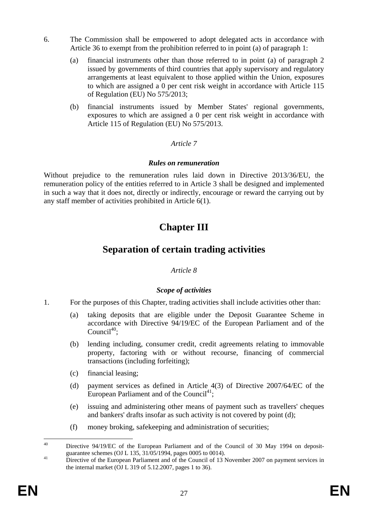- 6. The Commission shall be empowered to adopt delegated acts in accordance with Article 36 to exempt from the prohibition referred to in point (a) of paragraph 1:
	- (a) financial instruments other than those referred to in point (a) of paragraph 2 issued by governments of third countries that apply supervisory and regulatory arrangements at least equivalent to those applied within the Union, exposures to which are assigned a 0 per cent risk weight in accordance with Article 115 of Regulation (EU) No 575/2013;
	- (b) financial instruments issued by Member States' regional governments, exposures to which are assigned a 0 per cent risk weight in accordance with Article 115 of Regulation (EU) No 575/2013.

# *Article 7*

### *Rules on remuneration*

Without prejudice to the remuneration rules laid down in Directive 2013/36/EU, the remuneration policy of the entities referred to in Article 3 shall be designed and implemented in such a way that it does not, directly or indirectly, encourage or reward the carrying out by any staff member of activities prohibited in Article 6(1).

# **Chapter III**

# **Separation of certain trading activities**

# *Article 8*

# *Scope of activities*

- 1. For the purposes of this Chapter, trading activities shall include activities other than:
	- (a) taking deposits that are eligible under the Deposit Guarantee Scheme in accordance with Directive 94/19/EC of the European Parliament and of the Council $^{40}$ :
	- (b) lending including, consumer credit, credit agreements relating to immovable property, factoring with or without recourse, financing of commercial transactions (including forfeiting);
	- (c) financial leasing;
	- (d) payment services as defined in Article 4(3) of Directive 2007/64/EC of the European Parliament and of the Council<sup>41</sup>;
	- (e) issuing and administering other means of payment such as travellers' cheques and bankers' drafts insofar as such activity is not covered by point (d);
	- (f) money broking, safekeeping and administration of securities;

 $40$ Directive 94/19/EC of the European Parliament and of the Council of 30 May 1994 on depositguarantee schemes (OJ L 135, 31/05/1994, pages 0005 to 0014).<br><sup>41</sup> Directive of the European Parliament and of the Council of 13 November 2007 on payment services in

the internal market (OJ L 319 of 5.12.2007, pages 1 to 36).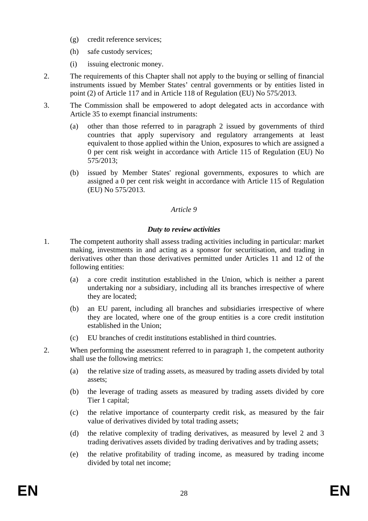- (g) credit reference services;
- (h) safe custody services;
- (i) issuing electronic money.
- 2. The requirements of this Chapter shall not apply to the buying or selling of financial instruments issued by Member States' central governments or by entities listed in point (2) of Article 117 and in Article 118 of Regulation (EU) No 575/2013.
- 3. The Commission shall be empowered to adopt delegated acts in accordance with Article 35 to exempt financial instruments:
	- (a) other than those referred to in paragraph 2 issued by governments of third countries that apply supervisory and regulatory arrangements at least equivalent to those applied within the Union, exposures to which are assigned a 0 per cent risk weight in accordance with Article 115 of Regulation (EU) No 575/2013;
	- (b) issued by Member States' regional governments, exposures to which are assigned a 0 per cent risk weight in accordance with Article 115 of Regulation (EU) No 575/2013.

# *Article 9*

# *Duty to review activities*

- 1. The competent authority shall assess trading activities including in particular: market making, investments in and acting as a sponsor for securitisation, and trading in derivatives other than those derivatives permitted under Articles 11 and 12 of the following entities:
	- (a) a core credit institution established in the Union, which is neither a parent undertaking nor a subsidiary, including all its branches irrespective of where they are located;
	- (b) an EU parent, including all branches and subsidiaries irrespective of where they are located, where one of the group entities is a core credit institution established in the Union;
	- (c) EU branches of credit institutions established in third countries.
- 2. When performing the assessment referred to in paragraph 1, the competent authority shall use the following metrics:
	- (a) the relative size of trading assets, as measured by trading assets divided by total assets;
	- (b) the leverage of trading assets as measured by trading assets divided by core Tier 1 capital;
	- (c) the relative importance of counterparty credit risk, as measured by the fair value of derivatives divided by total trading assets;
	- (d) the relative complexity of trading derivatives, as measured by level 2 and 3 trading derivatives assets divided by trading derivatives and by trading assets;
	- (e) the relative profitability of trading income, as measured by trading income divided by total net income;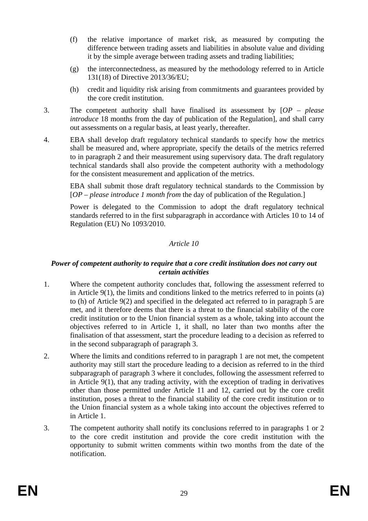- (f) the relative importance of market risk, as measured by computing the difference between trading assets and liabilities in absolute value and dividing it by the simple average between trading assets and trading liabilities;
- (g) the interconnectedness, as measured by the methodology referred to in Article 131(18) of Directive 2013/36/EU;
- (h) credit and liquidity risk arising from commitments and guarantees provided by the core credit institution.
- 3. The competent authority shall have finalised its assessment by [*OP please introduce* 18 months from the day of publication of the Regulation], and shall carry out assessments on a regular basis, at least yearly, thereafter.
- 4. EBA shall develop draft regulatory technical standards to specify how the metrics shall be measured and, where appropriate, specify the details of the metrics referred to in paragraph 2 and their measurement using supervisory data. The draft regulatory technical standards shall also provide the competent authority with a methodology for the consistent measurement and application of the metrics.

EBA shall submit those draft regulatory technical standards to the Commission by [*OP – please introduce 1 month from* the day of publication of the Regulation.]

Power is delegated to the Commission to adopt the draft regulatory technical standards referred to in the first subparagraph in accordance with Articles 10 to 14 of Regulation (EU) No 1093/2010.

### *Article 10*

#### *Power of competent authority to require that a core credit institution does not carry out certain activities*

- 1. Where the competent authority concludes that, following the assessment referred to in Article 9(1), the limits and conditions linked to the metrics referred to in points (a) to (h) of Article 9(2) and specified in the delegated act referred to in paragraph 5 are met, and it therefore deems that there is a threat to the financial stability of the core credit institution or to the Union financial system as a whole, taking into account the objectives referred to in Article 1, it shall, no later than two months after the finalisation of that assessment, start the procedure leading to a decision as referred to in the second subparagraph of paragraph 3.
- 2. Where the limits and conditions referred to in paragraph 1 are not met, the competent authority may still start the procedure leading to a decision as referred to in the third subparagraph of paragraph 3 where it concludes, following the assessment referred to in Article 9(1), that any trading activity, with the exception of trading in derivatives other than those permitted under Article 11 and 12, carried out by the core credit institution, poses a threat to the financial stability of the core credit institution or to the Union financial system as a whole taking into account the objectives referred to in Article 1.
- 3. The competent authority shall notify its conclusions referred to in paragraphs 1 or 2 to the core credit institution and provide the core credit institution with the opportunity to submit written comments within two months from the date of the notification.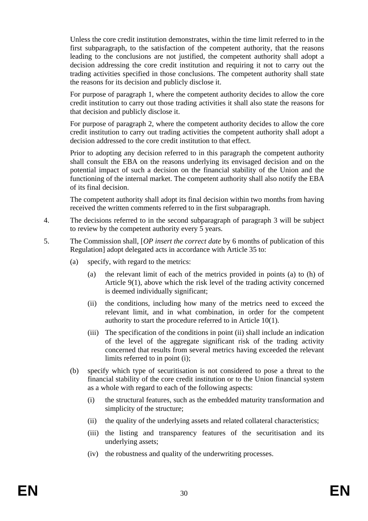Unless the core credit institution demonstrates, within the time limit referred to in the first subparagraph, to the satisfaction of the competent authority, that the reasons leading to the conclusions are not justified, the competent authority shall adopt a decision addressing the core credit institution and requiring it not to carry out the trading activities specified in those conclusions. The competent authority shall state the reasons for its decision and publicly disclose it.

For purpose of paragraph 1, where the competent authority decides to allow the core credit institution to carry out those trading activities it shall also state the reasons for that decision and publicly disclose it.

For purpose of paragraph 2, where the competent authority decides to allow the core credit institution to carry out trading activities the competent authority shall adopt a decision addressed to the core credit institution to that effect.

Prior to adopting any decision referred to in this paragraph the competent authority shall consult the EBA on the reasons underlying its envisaged decision and on the potential impact of such a decision on the financial stability of the Union and the functioning of the internal market. The competent authority shall also notify the EBA of its final decision.

The competent authority shall adopt its final decision within two months from having received the written comments referred to in the first subparagraph.

- 4. The decisions referred to in the second subparagraph of paragraph 3 will be subject to review by the competent authority every 5 years.
- 5. The Commission shall, [*OP insert the correct date* by 6 months of publication of this Regulation] adopt delegated acts in accordance with Article 35 to:
	- (a) specify, with regard to the metrics:
		- (a) the relevant limit of each of the metrics provided in points (a) to (h) of Article 9(1), above which the risk level of the trading activity concerned is deemed individually significant;
		- (ii) the conditions, including how many of the metrics need to exceed the relevant limit, and in what combination, in order for the competent authority to start the procedure referred to in Article 10(1).
		- (iii) The specification of the conditions in point (ii) shall include an indication of the level of the aggregate significant risk of the trading activity concerned that results from several metrics having exceeded the relevant limits referred to in point (i);
	- (b) specify which type of securitisation is not considered to pose a threat to the financial stability of the core credit institution or to the Union financial system as a whole with regard to each of the following aspects:
		- (i) the structural features, such as the embedded maturity transformation and simplicity of the structure;
		- (ii) the quality of the underlying assets and related collateral characteristics;
		- (iii) the listing and transparency features of the securitisation and its underlying assets;
		- (iv) the robustness and quality of the underwriting processes.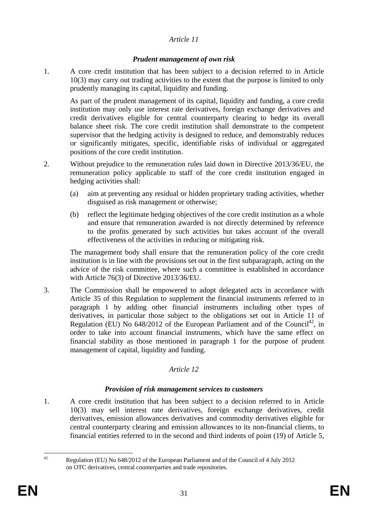# *Article 11*

# *Prudent management of own risk*

1. A core credit institution that has been subject to a decision referred to in Article 10(3) may carry out trading activities to the extent that the purpose is limited to only prudently managing its capital, liquidity and funding.

As part of the prudent management of its capital, liquidity and funding, a core credit institution may only use interest rate derivatives, foreign exchange derivatives and credit derivatives eligible for central counterparty clearing to hedge its overall balance sheet risk. The core credit institution shall demonstrate to the competent supervisor that the hedging activity is designed to reduce, and demonstrably reduces or significantly mitigates, specific, identifiable risks of individual or aggregated positions of the core credit institution.

- 2. Without prejudice to the remuneration rules laid down in Directive 2013/36/EU, the remuneration policy applicable to staff of the core credit institution engaged in hedging activities shall:
	- (a) aim at preventing any residual or hidden proprietary trading activities, whether disguised as risk management or otherwise;
	- (b) reflect the legitimate hedging objectives of the core credit institution as a whole and ensure that remuneration awarded is not directly determined by reference to the profits generated by such activities but takes account of the overall effectiveness of the activities in reducing or mitigating risk.

The management body shall ensure that the remuneration policy of the core credit institution is in line with the provisions set out in the first subparagraph, acting on the advice of the risk committee, where such a committee is established in accordance with Article 76(3) of Directive 2013/36/EU.

3. The Commission shall be empowered to adopt delegated acts in accordance with Article 35 of this Regulation to supplement the financial instruments referred to in paragraph 1 by adding other financial instruments including other types of derivatives, in particular those subject to the obligations set out in Article 11 of Regulation (EU) No  $648/2012$  of the European Parliament and of the Council<sup>42</sup>, in order to take into account financial instruments, which have the same effect on financial stability as those mentioned in paragraph 1 for the purpose of prudent management of capital, liquidity and funding.

# *Article 12*

# *Provision of risk management services to customers*

1. A core credit institution that has been subject to a decision referred to in Article 10(3) may sell interest rate derivatives, foreign exchange derivatives, credit derivatives, emission allowances derivatives and commodity derivatives eligible for central counterparty clearing and emission allowances to its non-financial clients, to financial entities referred to in the second and third indents of point (19) of Article 5,

 $\overline{A}$ 42 Regulation (EU) No 648/2012 of the European Parliament and of the Council of 4 July 2012 on OTC derivatives, central counterparties and trade repositories.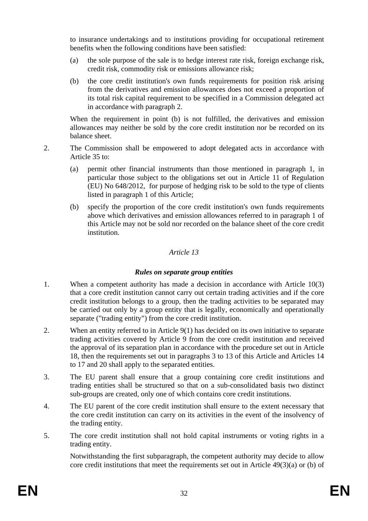to insurance undertakings and to institutions providing for occupational retirement benefits when the following conditions have been satisfied:

- (a) the sole purpose of the sale is to hedge interest rate risk, foreign exchange risk, credit risk, commodity risk or emissions allowance risk;
- (b) the core credit institution's own funds requirements for position risk arising from the derivatives and emission allowances does not exceed a proportion of its total risk capital requirement to be specified in a Commission delegated act in accordance with paragraph 2.

When the requirement in point (b) is not fulfilled, the derivatives and emission allowances may neither be sold by the core credit institution nor be recorded on its balance sheet.

- 2. The Commission shall be empowered to adopt delegated acts in accordance with Article 35 to:
	- (a) permit other financial instruments than those mentioned in paragraph 1, in particular those subject to the obligations set out in Article 11 of Regulation (EU) No 648/2012, for purpose of hedging risk to be sold to the type of clients listed in paragraph 1 of this Article;
	- (b) specify the proportion of the core credit institution's own funds requirements above which derivatives and emission allowances referred to in paragraph 1 of this Article may not be sold nor recorded on the balance sheet of the core credit institution.

### *Article 13*

# *Rules on separate group entities*

- 1. When a competent authority has made a decision in accordance with Article 10(3) that a core credit institution cannot carry out certain trading activities and if the core credit institution belongs to a group, then the trading activities to be separated may be carried out only by a group entity that is legally, economically and operationally separate ("trading entity") from the core credit institution.
- 2. When an entity referred to in Article 9(1) has decided on its own initiative to separate trading activities covered by Article 9 from the core credit institution and received the approval of its separation plan in accordance with the procedure set out in Article 18, then the requirements set out in paragraphs 3 to 13 of this Article and Articles 14 to 17 and 20 shall apply to the separated entities.
- 3. The EU parent shall ensure that a group containing core credit institutions and trading entities shall be structured so that on a sub-consolidated basis two distinct sub-groups are created, only one of which contains core credit institutions.
- 4. The EU parent of the core credit institution shall ensure to the extent necessary that the core credit institution can carry on its activities in the event of the insolvency of the trading entity.
- 5. The core credit institution shall not hold capital instruments or voting rights in a trading entity.

Notwithstanding the first subparagraph, the competent authority may decide to allow core credit institutions that meet the requirements set out in Article 49(3)(a) or (b) of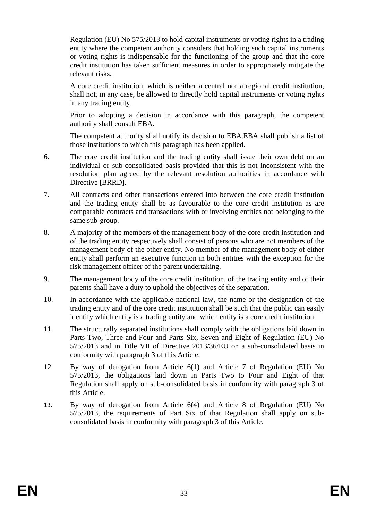Regulation (EU) No 575/2013 to hold capital instruments or voting rights in a trading entity where the competent authority considers that holding such capital instruments or voting rights is indispensable for the functioning of the group and that the core credit institution has taken sufficient measures in order to appropriately mitigate the relevant risks.

A core credit institution, which is neither a central nor a regional credit institution, shall not, in any case, be allowed to directly hold capital instruments or voting rights in any trading entity.

Prior to adopting a decision in accordance with this paragraph, the competent authority shall consult EBA.

The competent authority shall notify its decision to EBA.EBA shall publish a list of those institutions to which this paragraph has been applied.

- 6. The core credit institution and the trading entity shall issue their own debt on an individual or sub-consolidated basis provided that this is not inconsistent with the resolution plan agreed by the relevant resolution authorities in accordance with Directive [BRRD].
- 7. All contracts and other transactions entered into between the core credit institution and the trading entity shall be as favourable to the core credit institution as are comparable contracts and transactions with or involving entities not belonging to the same sub-group.
- 8. A majority of the members of the management body of the core credit institution and of the trading entity respectively shall consist of persons who are not members of the management body of the other entity. No member of the management body of either entity shall perform an executive function in both entities with the exception for the risk management officer of the parent undertaking.
- 9. The management body of the core credit institution, of the trading entity and of their parents shall have a duty to uphold the objectives of the separation.
- 10. In accordance with the applicable national law, the name or the designation of the trading entity and of the core credit institution shall be such that the public can easily identify which entity is a trading entity and which entity is a core credit institution.
- 11. The structurally separated institutions shall comply with the obligations laid down in Parts Two, Three and Four and Parts Six, Seven and Eight of Regulation (EU) No 575/2013 and in Title VII of Directive 2013/36/EU on a sub-consolidated basis in conformity with paragraph 3 of this Article.
- 12. By way of derogation from Article 6(1) and Article 7 of Regulation (EU) No 575/2013, the obligations laid down in Parts Two to Four and Eight of that Regulation shall apply on sub-consolidated basis in conformity with paragraph 3 of this Article.
- 13. By way of derogation from Article 6(4) and Article 8 of Regulation (EU) No 575/2013, the requirements of Part Six of that Regulation shall apply on subconsolidated basis in conformity with paragraph 3 of this Article.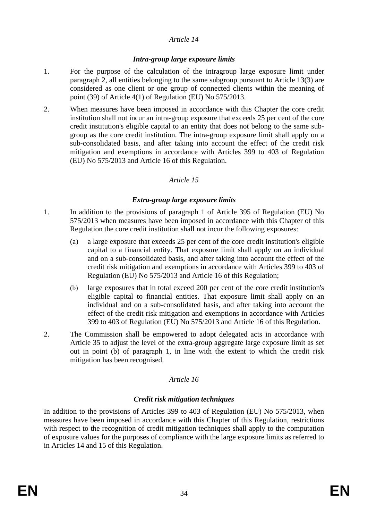### *Article 14*

#### *Intra-group large exposure limits*

- 1. For the purpose of the calculation of the intragroup large exposure limit under paragraph 2, all entities belonging to the same subgroup pursuant to Article 13(3) are considered as one client or one group of connected clients within the meaning of point (39) of Article 4(1) of Regulation (EU) No 575/2013.
- 2. When measures have been imposed in accordance with this Chapter the core credit institution shall not incur an intra-group exposure that exceeds 25 per cent of the core credit institution's eligible capital to an entity that does not belong to the same subgroup as the core credit institution. The intra-group exposure limit shall apply on a sub-consolidated basis, and after taking into account the effect of the credit risk mitigation and exemptions in accordance with Articles 399 to 403 of Regulation (EU) No 575/2013 and Article 16 of this Regulation.

# *Article 15*

### *Extra-group large exposure limits*

- 1. In addition to the provisions of paragraph 1 of Article 395 of Regulation (EU) No 575/2013 when measures have been imposed in accordance with this Chapter of this Regulation the core credit institution shall not incur the following exposures:
	- (a) a large exposure that exceeds 25 per cent of the core credit institution's eligible capital to a financial entity. That exposure limit shall apply on an individual and on a sub-consolidated basis, and after taking into account the effect of the credit risk mitigation and exemptions in accordance with Articles 399 to 403 of Regulation (EU) No 575/2013 and Article 16 of this Regulation;
	- (b) large exposures that in total exceed 200 per cent of the core credit institution's eligible capital to financial entities. That exposure limit shall apply on an individual and on a sub-consolidated basis, and after taking into account the effect of the credit risk mitigation and exemptions in accordance with Articles 399 to 403 of Regulation (EU) No 575/2013 and Article 16 of this Regulation.
- 2. The Commission shall be empowered to adopt delegated acts in accordance with Article 35 to adjust the level of the extra-group aggregate large exposure limit as set out in point (b) of paragraph 1, in line with the extent to which the credit risk mitigation has been recognised.

# *Article 16*

# *Credit risk mitigation techniques*

In addition to the provisions of Articles 399 to 403 of Regulation (EU) No 575/2013, when measures have been imposed in accordance with this Chapter of this Regulation, restrictions with respect to the recognition of credit mitigation techniques shall apply to the computation of exposure values for the purposes of compliance with the large exposure limits as referred to in Articles 14 and 15 of this Regulation.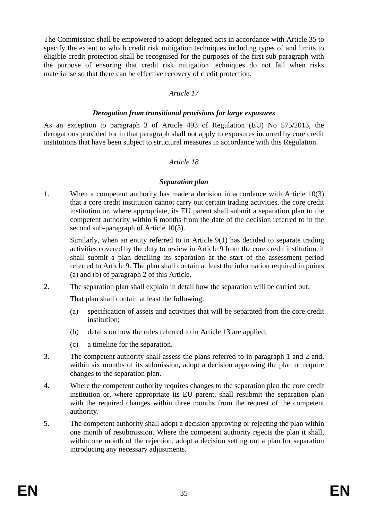The Commission shall be empowered to adopt delegated acts in accordance with Article 35 to specify the extent to which credit risk mitigation techniques including types of and limits to eligible credit protection shall be recognised for the purposes of the first sub-paragraph with the purpose of ensuring that credit risk mitigation techniques do not fail when risks materialise so that there can be effective recovery of credit protection.

### *Article 17*

#### *Derogation from transitional provisions for large exposures*

As an exception to paragraph 3 of Article 493 of Regulation (EU) No 575/2013, the derogations provided for in that paragraph shall not apply to exposures incurred by core credit institutions that have been subject to structural measures in accordance with this Regulation.

#### *Article 18*

#### *Separation plan*

1. When a competent authority has made a decision in accordance with Article 10(3) that a core credit institution cannot carry out certain trading activities, the core credit institution or, where appropriate, its EU parent shall submit a separation plan to the competent authority within 6 months from the date of the decision referred to in the second sub-paragraph of Article 10(3).

Similarly, when an entity referred to in Article 9(1) has decided to separate trading activities covered by the duty to review in Article 9 from the core credit institution, it shall submit a plan detailing its separation at the start of the assessment period referred to Article 9. The plan shall contain at least the information required in points (a) and (b) of paragraph 2 of this Article.

2. The separation plan shall explain in detail how the separation will be carried out.

That plan shall contain at least the following:

- (a) specification of assets and activities that will be separated from the core credit institution;
- (b) details on how the rules referred to in Article 13 are applied;
- (c) a timeline for the separation.
- 3. The competent authority shall assess the plans referred to in paragraph 1 and 2 and, within six months of its submission, adopt a decision approving the plan or require changes to the separation plan.
- 4. Where the competent authority requires changes to the separation plan the core credit institution or, where appropriate its EU parent, shall resubmit the separation plan with the required changes within three months from the request of the competent authority.
- 5. The competent authority shall adopt a decision approving or rejecting the plan within one month of resubmission. Where the competent authority rejects the plan it shall, within one month of the rejection, adopt a decision setting out a plan for separation introducing any necessary adjustments.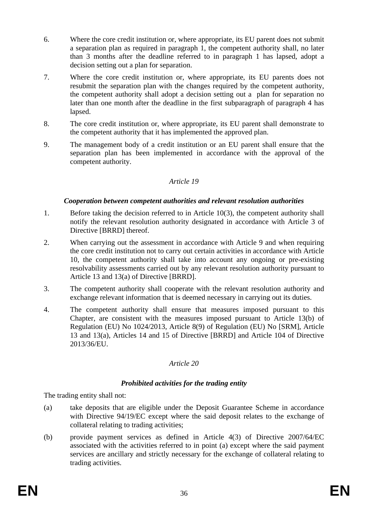- 6. Where the core credit institution or, where appropriate, its EU parent does not submit a separation plan as required in paragraph 1, the competent authority shall, no later than 3 months after the deadline referred to in paragraph 1 has lapsed, adopt a decision setting out a plan for separation.
- 7. Where the core credit institution or, where appropriate, its EU parents does not resubmit the separation plan with the changes required by the competent authority, the competent authority shall adopt a decision setting out a plan for separation no later than one month after the deadline in the first subparagraph of paragraph 4 has lapsed.
- 8. The core credit institution or, where appropriate, its EU parent shall demonstrate to the competent authority that it has implemented the approved plan.
- 9. The management body of a credit institution or an EU parent shall ensure that the separation plan has been implemented in accordance with the approval of the competent authority.

# *Article 19*

### *Cooperation between competent authorities and relevant resolution authorities*

- 1. Before taking the decision referred to in Article 10(3), the competent authority shall notify the relevant resolution authority designated in accordance with Article 3 of Directive [BRRD] thereof.
- 2. When carrying out the assessment in accordance with Article 9 and when requiring the core credit institution not to carry out certain activities in accordance with Article 10, the competent authority shall take into account any ongoing or pre-existing resolvability assessments carried out by any relevant resolution authority pursuant to Article 13 and 13(a) of Directive [BRRD].
- 3. The competent authority shall cooperate with the relevant resolution authority and exchange relevant information that is deemed necessary in carrying out its duties.
- 4. The competent authority shall ensure that measures imposed pursuant to this Chapter, are consistent with the measures imposed pursuant to Article 13(b) of Regulation (EU) No 1024/2013, Article 8(9) of Regulation (EU) No [SRM], Article 13 and 13(a), Articles 14 and 15 of Directive [BRRD] and Article 104 of Directive 2013/36/EU.

# *Article 20*

# *Prohibited activities for the trading entity*

The trading entity shall not:

- (a) take deposits that are eligible under the Deposit Guarantee Scheme in accordance with Directive 94/19/EC except where the said deposit relates to the exchange of collateral relating to trading activities;
- (b) provide payment services as defined in Article 4(3) of Directive 2007/64/EC associated with the activities referred to in point (a) except where the said payment services are ancillary and strictly necessary for the exchange of collateral relating to trading activities.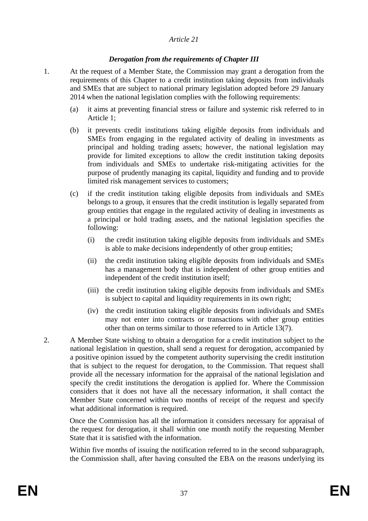### *Article 21*

### *Derogation from the requirements of Chapter III*

- 1. At the request of a Member State, the Commission may grant a derogation from the requirements of this Chapter to a credit institution taking deposits from individuals and SMEs that are subject to national primary legislation adopted before 29 January 2014 when the national legislation complies with the following requirements:
	- (a) it aims at preventing financial stress or failure and systemic risk referred to in Article 1;
	- (b) it prevents credit institutions taking eligible deposits from individuals and SMEs from engaging in the regulated activity of dealing in investments as principal and holding trading assets; however, the national legislation may provide for limited exceptions to allow the credit institution taking deposits from individuals and SMEs to undertake risk-mitigating activities for the purpose of prudently managing its capital, liquidity and funding and to provide limited risk management services to customers;
	- (c) if the credit institution taking eligible deposits from individuals and SMEs belongs to a group, it ensures that the credit institution is legally separated from group entities that engage in the regulated activity of dealing in investments as a principal or hold trading assets, and the national legislation specifies the following:
		- (i) the credit institution taking eligible deposits from individuals and SMEs is able to make decisions independently of other group entities;
		- (ii) the credit institution taking eligible deposits from individuals and SMEs has a management body that is independent of other group entities and independent of the credit institution itself;
		- (iii) the credit institution taking eligible deposits from individuals and SMEs is subject to capital and liquidity requirements in its own right;
		- (iv) the credit institution taking eligible deposits from individuals and SMEs may not enter into contracts or transactions with other group entities other than on terms similar to those referred to in Article 13(7).
- 2. A Member State wishing to obtain a derogation for a credit institution subject to the national legislation in question, shall send a request for derogation, accompanied by a positive opinion issued by the competent authority supervising the credit institution that is subject to the request for derogation, to the Commission. That request shall provide all the necessary information for the appraisal of the national legislation and specify the credit institutions the derogation is applied for. Where the Commission considers that it does not have all the necessary information, it shall contact the Member State concerned within two months of receipt of the request and specify what additional information is required.

Once the Commission has all the information it considers necessary for appraisal of the request for derogation, it shall within one month notify the requesting Member State that it is satisfied with the information.

Within five months of issuing the notification referred to in the second subparagraph, the Commission shall, after having consulted the EBA on the reasons underlying its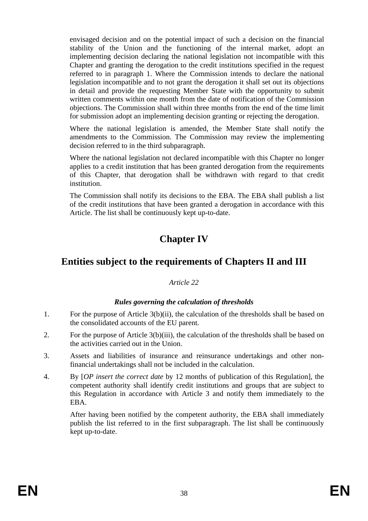envisaged decision and on the potential impact of such a decision on the financial stability of the Union and the functioning of the internal market, adopt an implementing decision declaring the national legislation not incompatible with this Chapter and granting the derogation to the credit institutions specified in the request referred to in paragraph 1. Where the Commission intends to declare the national legislation incompatible and to not grant the derogation it shall set out its objections in detail and provide the requesting Member State with the opportunity to submit written comments within one month from the date of notification of the Commission objections. The Commission shall within three months from the end of the time limit for submission adopt an implementing decision granting or rejecting the derogation.

Where the national legislation is amended, the Member State shall notify the amendments to the Commission. The Commission may review the implementing decision referred to in the third subparagraph.

Where the national legislation not declared incompatible with this Chapter no longer applies to a credit institution that has been granted derogation from the requirements of this Chapter, that derogation shall be withdrawn with regard to that credit institution.

The Commission shall notify its decisions to the EBA. The EBA shall publish a list of the credit institutions that have been granted a derogation in accordance with this Article. The list shall be continuously kept up-to-date.

# **Chapter IV**

# **Entities subject to the requirements of Chapters II and III**

# *Article 22*

# *Rules governing the calculation of thresholds*

- 1. For the purpose of Article 3(b)(ii), the calculation of the thresholds shall be based on the consolidated accounts of the EU parent.
- 2. For the purpose of Article 3(b)(iii), the calculation of the thresholds shall be based on the activities carried out in the Union.
- 3. Assets and liabilities of insurance and reinsurance undertakings and other nonfinancial undertakings shall not be included in the calculation.
- 4. By [*OP insert the correct date* by 12 months of publication of this Regulation], the competent authority shall identify credit institutions and groups that are subject to this Regulation in accordance with Article 3 and notify them immediately to the EBA.

After having been notified by the competent authority, the EBA shall immediately publish the list referred to in the first subparagraph. The list shall be continuously kept up-to-date.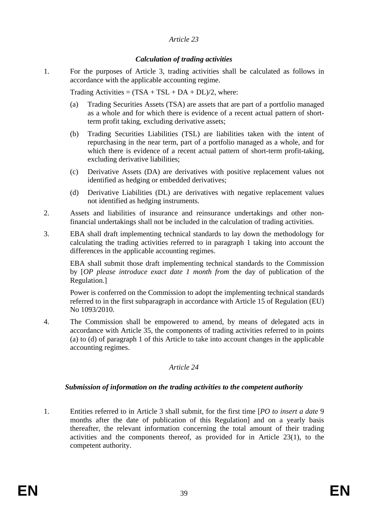### *Article 23*

### *Calculation of trading activities*

1. For the purposes of Article 3, trading activities shall be calculated as follows in accordance with the applicable accounting regime.

Trading Activities =  $(TSA + TSL + DA + DL)/2$ , where:

- (a) Trading Securities Assets (TSA) are assets that are part of a portfolio managed as a whole and for which there is evidence of a recent actual pattern of shortterm profit taking, excluding derivative assets;
- (b) Trading Securities Liabilities (TSL) are liabilities taken with the intent of repurchasing in the near term, part of a portfolio managed as a whole, and for which there is evidence of a recent actual pattern of short-term profit-taking, excluding derivative liabilities;
- (c) Derivative Assets (DA) are derivatives with positive replacement values not identified as hedging or embedded derivatives;
- (d) Derivative Liabilities (DL) are derivatives with negative replacement values not identified as hedging instruments.
- 2. Assets and liabilities of insurance and reinsurance undertakings and other nonfinancial undertakings shall not be included in the calculation of trading activities.
- 3. EBA shall draft implementing technical standards to lay down the methodology for calculating the trading activities referred to in paragraph 1 taking into account the differences in the applicable accounting regimes.

EBA shall submit those draft implementing technical standards to the Commission by [*OP please introduce exact date 1 month from* the day of publication of the Regulation.]

Power is conferred on the Commission to adopt the implementing technical standards referred to in the first subparagraph in accordance with Article 15 of Regulation (EU) No 1093/2010.

4. The Commission shall be empowered to amend, by means of delegated acts in accordance with Article 35, the components of trading activities referred to in points (a) to (d) of paragraph 1 of this Article to take into account changes in the applicable accounting regimes.

# *Article 24*

# *Submission of information on the trading activities to the competent authority*

1. Entities referred to in Article 3 shall submit, for the first time [*PO to insert a date* 9 months after the date of publication of this Regulation] and on a yearly basis thereafter, the relevant information concerning the total amount of their trading activities and the components thereof, as provided for in Article 23(1), to the competent authority.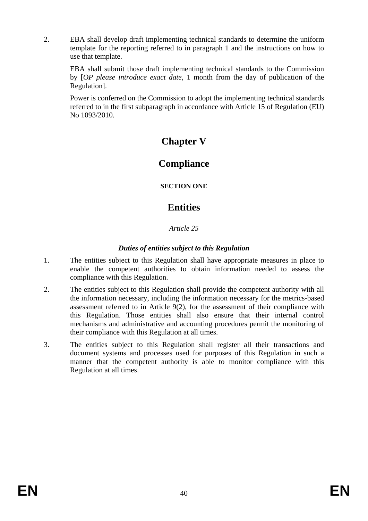2. EBA shall develop draft implementing technical standards to determine the uniform template for the reporting referred to in paragraph 1 and the instructions on how to use that template.

EBA shall submit those draft implementing technical standards to the Commission by [*OP please introduce exact date,* 1 month from the day of publication of the Regulation].

Power is conferred on the Commission to adopt the implementing technical standards referred to in the first subparagraph in accordance with Article 15 of Regulation (EU) No 1093/2010.

# **Chapter V**

# **Compliance**

**SECTION ONE**

# **Entities**

# *Article 25*

# *Duties of entities subject to this Regulation*

- 1. The entities subject to this Regulation shall have appropriate measures in place to enable the competent authorities to obtain information needed to assess the compliance with this Regulation.
- 2. The entities subject to this Regulation shall provide the competent authority with all the information necessary, including the information necessary for the metrics-based assessment referred to in Article 9(2), for the assessment of their compliance with this Regulation. Those entities shall also ensure that their internal control mechanisms and administrative and accounting procedures permit the monitoring of their compliance with this Regulation at all times.
- 3. The entities subject to this Regulation shall register all their transactions and document systems and processes used for purposes of this Regulation in such a manner that the competent authority is able to monitor compliance with this Regulation at all times.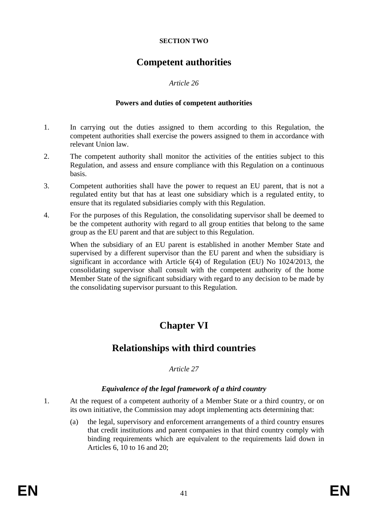#### **SECTION TWO**

# **Competent authorities**

# *Article 26*

### **Powers and duties of competent authorities**

- 1. In carrying out the duties assigned to them according to this Regulation, the competent authorities shall exercise the powers assigned to them in accordance with relevant Union law.
- 2. The competent authority shall monitor the activities of the entities subject to this Regulation, and assess and ensure compliance with this Regulation on a continuous basis.
- 3. Competent authorities shall have the power to request an EU parent, that is not a regulated entity but that has at least one subsidiary which is a regulated entity, to ensure that its regulated subsidiaries comply with this Regulation.
- 4. For the purposes of this Regulation, the consolidating supervisor shall be deemed to be the competent authority with regard to all group entities that belong to the same group as the EU parent and that are subject to this Regulation.

When the subsidiary of an EU parent is established in another Member State and supervised by a different supervisor than the EU parent and when the subsidiary is significant in accordance with Article 6(4) of Regulation (EU) No 1024/2013, the consolidating supervisor shall consult with the competent authority of the home Member State of the significant subsidiary with regard to any decision to be made by the consolidating supervisor pursuant to this Regulation.

# **Chapter VI**

# **Relationships with third countries**

# *Article 27*

# *Equivalence of the legal framework of a third country*

- 1. At the request of a competent authority of a Member State or a third country, or on its own initiative, the Commission may adopt implementing acts determining that:
	- (a) the legal, supervisory and enforcement arrangements of a third country ensures that credit institutions and parent companies in that third country comply with binding requirements which are equivalent to the requirements laid down in Articles 6, 10 to 16 and 20;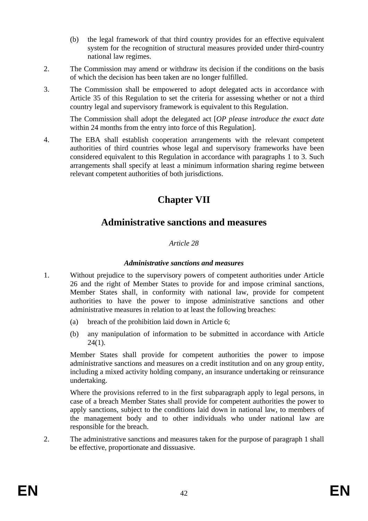- (b) the legal framework of that third country provides for an effective equivalent system for the recognition of structural measures provided under third-country national law regimes.
- 2. The Commission may amend or withdraw its decision if the conditions on the basis of which the decision has been taken are no longer fulfilled.
- 3. The Commission shall be empowered to adopt delegated acts in accordance with Article 35 of this Regulation to set the criteria for assessing whether or not a third country legal and supervisory framework is equivalent to this Regulation.

The Commission shall adopt the delegated act [*OP please introduce the exact date*  within 24 months from the entry into force of this Regulation].

4. The EBA shall establish cooperation arrangements with the relevant competent authorities of third countries whose legal and supervisory frameworks have been considered equivalent to this Regulation in accordance with paragraphs 1 to 3. Such arrangements shall specify at least a minimum information sharing regime between relevant competent authorities of both jurisdictions.

# **Chapter VII**

# **Administrative sanctions and measures**

# *Article 28*

#### *Administrative sanctions and measures*

- 1. Without prejudice to the supervisory powers of competent authorities under Article 26 and the right of Member States to provide for and impose criminal sanctions, Member States shall, in conformity with national law, provide for competent authorities to have the power to impose administrative sanctions and other administrative measures in relation to at least the following breaches:
	- (a) breach of the prohibition laid down in Article 6;
	- (b) any manipulation of information to be submitted in accordance with Article  $24(1)$ .

Member States shall provide for competent authorities the power to impose administrative sanctions and measures on a credit institution and on any group entity, including a mixed activity holding company, an insurance undertaking or reinsurance undertaking.

Where the provisions referred to in the first subparagraph apply to legal persons, in case of a breach Member States shall provide for competent authorities the power to apply sanctions, subject to the conditions laid down in national law, to members of the management body and to other individuals who under national law are responsible for the breach.

2. The administrative sanctions and measures taken for the purpose of paragraph 1 shall be effective, proportionate and dissuasive.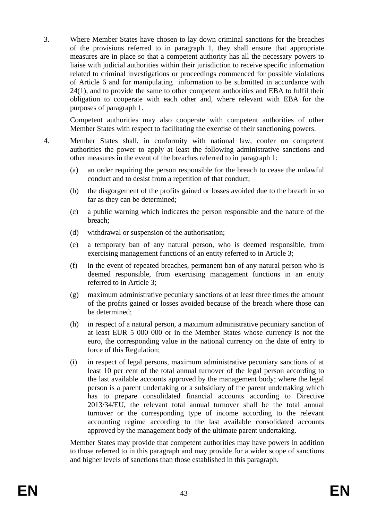3. Where Member States have chosen to lay down criminal sanctions for the breaches of the provisions referred to in paragraph 1, they shall ensure that appropriate measures are in place so that a competent authority has all the necessary powers to liaise with judicial authorities within their jurisdiction to receive specific information related to criminal investigations or proceedings commenced for possible violations of Article 6 and for manipulating information to be submitted in accordance with 24(1), and to provide the same to other competent authorities and EBA to fulfil their obligation to cooperate with each other and, where relevant with EBA for the purposes of paragraph 1.

Competent authorities may also cooperate with competent authorities of other Member States with respect to facilitating the exercise of their sanctioning powers.

- 4. Member States shall, in conformity with national law, confer on competent authorities the power to apply at least the following administrative sanctions and other measures in the event of the breaches referred to in paragraph 1:
	- (a) an order requiring the person responsible for the breach to cease the unlawful conduct and to desist from a repetition of that conduct;
	- (b) the disgorgement of the profits gained or losses avoided due to the breach in so far as they can be determined;
	- (c) a public warning which indicates the person responsible and the nature of the breach;
	- (d) withdrawal or suspension of the authorisation;
	- (e) a temporary ban of any natural person, who is deemed responsible, from exercising management functions of an entity referred to in Article 3;
	- (f) in the event of repeated breaches, permanent ban of any natural person who is deemed responsible, from exercising management functions in an entity referred to in Article 3;
	- (g) maximum administrative pecuniary sanctions of at least three times the amount of the profits gained or losses avoided because of the breach where those can be determined;
	- (h) in respect of a natural person, a maximum administrative pecuniary sanction of at least EUR 5 000 000 or in the Member States whose currency is not the euro, the corresponding value in the national currency on the date of entry to force of this Regulation;
	- (i) in respect of legal persons, maximum administrative pecuniary sanctions of at least 10 per cent of the total annual turnover of the legal person according to the last available accounts approved by the management body; where the legal person is a parent undertaking or a subsidiary of the parent undertaking which has to prepare consolidated financial accounts according to Directive 2013/34/EU, the relevant total annual turnover shall be the total annual turnover or the corresponding type of income according to the relevant accounting regime according to the last available consolidated accounts approved by the management body of the ultimate parent undertaking.

Member States may provide that competent authorities may have powers in addition to those referred to in this paragraph and may provide for a wider scope of sanctions and higher levels of sanctions than those established in this paragraph.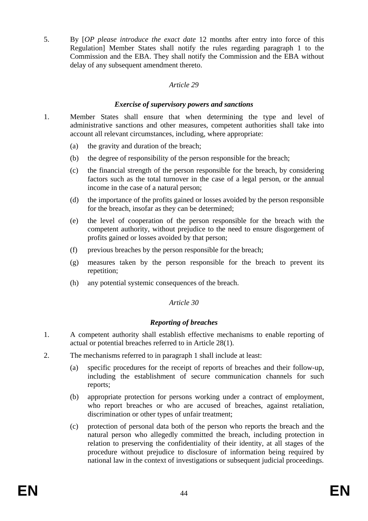5. By [*OP please introduce the exact date* 12 months after entry into force of this Regulation] Member States shall notify the rules regarding paragraph 1 to the Commission and the EBA. They shall notify the Commission and the EBA without delay of any subsequent amendment thereto.

### *Article 29*

### *Exercise of supervisory powers and sanctions*

- 1. Member States shall ensure that when determining the type and level of administrative sanctions and other measures, competent authorities shall take into account all relevant circumstances, including, where appropriate:
	- (a) the gravity and duration of the breach;
	- (b) the degree of responsibility of the person responsible for the breach;
	- (c) the financial strength of the person responsible for the breach, by considering factors such as the total turnover in the case of a legal person, or the annual income in the case of a natural person;
	- (d) the importance of the profits gained or losses avoided by the person responsible for the breach, insofar as they can be determined;
	- (e) the level of cooperation of the person responsible for the breach with the competent authority, without prejudice to the need to ensure disgorgement of profits gained or losses avoided by that person;
	- (f) previous breaches by the person responsible for the breach;
	- (g) measures taken by the person responsible for the breach to prevent its repetition;
	- (h) any potential systemic consequences of the breach.

# *Article 30*

# *Reporting of breaches*

- 1. A competent authority shall establish effective mechanisms to enable reporting of actual or potential breaches referred to in Article 28(1).
- 2. The mechanisms referred to in paragraph 1 shall include at least:
	- (a) specific procedures for the receipt of reports of breaches and their follow-up, including the establishment of secure communication channels for such reports;
	- (b) appropriate protection for persons working under a contract of employment, who report breaches or who are accused of breaches, against retaliation, discrimination or other types of unfair treatment;
	- (c) protection of personal data both of the person who reports the breach and the natural person who allegedly committed the breach, including protection in relation to preserving the confidentiality of their identity, at all stages of the procedure without prejudice to disclosure of information being required by national law in the context of investigations or subsequent judicial proceedings.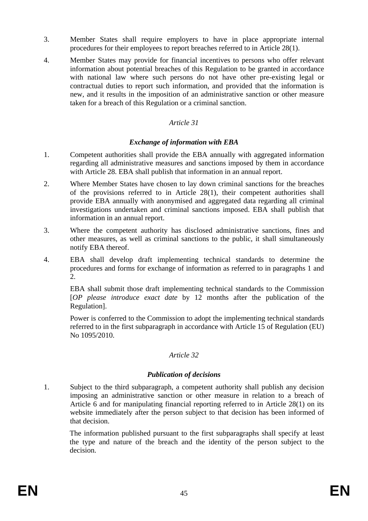- 3. Member States shall require employers to have in place appropriate internal procedures for their employees to report breaches referred to in Article 28(1).
- 4. Member States may provide for financial incentives to persons who offer relevant information about potential breaches of this Regulation to be granted in accordance with national law where such persons do not have other pre-existing legal or contractual duties to report such information, and provided that the information is new, and it results in the imposition of an administrative sanction or other measure taken for a breach of this Regulation or a criminal sanction.

### *Article 31*

### *Exchange of information with EBA*

- 1. Competent authorities shall provide the EBA annually with aggregated information regarding all administrative measures and sanctions imposed by them in accordance with Article 28. EBA shall publish that information in an annual report.
- 2. Where Member States have chosen to lay down criminal sanctions for the breaches of the provisions referred to in Article 28(1), their competent authorities shall provide EBA annually with anonymised and aggregated data regarding all criminal investigations undertaken and criminal sanctions imposed. EBA shall publish that information in an annual report.
- 3. Where the competent authority has disclosed administrative sanctions, fines and other measures, as well as criminal sanctions to the public, it shall simultaneously notify EBA thereof.
- 4. EBA shall develop draft implementing technical standards to determine the procedures and forms for exchange of information as referred to in paragraphs 1 and 2.

EBA shall submit those draft implementing technical standards to the Commission [*OP please introduce exact date* by 12 months after the publication of the Regulation].

Power is conferred to the Commission to adopt the implementing technical standards referred to in the first subparagraph in accordance with Article 15 of Regulation (EU) No 1095/2010.

#### *Article 32*

#### *Publication of decisions*

1. Subject to the third subparagraph, a competent authority shall publish any decision imposing an administrative sanction or other measure in relation to a breach of Article 6 and for manipulating financial reporting referred to in Article 28(1) on its website immediately after the person subject to that decision has been informed of that decision.

The information published pursuant to the first subparagraphs shall specify at least the type and nature of the breach and the identity of the person subject to the decision.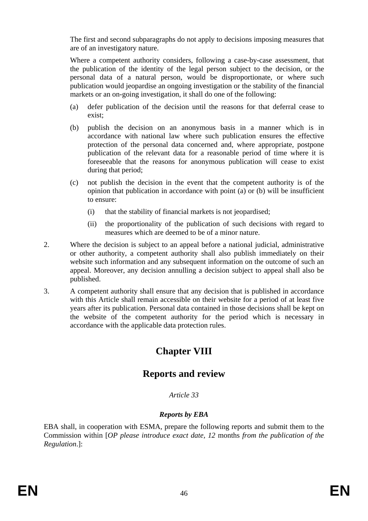The first and second subparagraphs do not apply to decisions imposing measures that are of an investigatory nature.

Where a competent authority considers, following a case-by-case assessment, that the publication of the identity of the legal person subject to the decision, or the personal data of a natural person, would be disproportionate, or where such publication would jeopardise an ongoing investigation or the stability of the financial markets or an on-going investigation, it shall do one of the following:

- (a) defer publication of the decision until the reasons for that deferral cease to exist;
- (b) publish the decision on an anonymous basis in a manner which is in accordance with national law where such publication ensures the effective protection of the personal data concerned and, where appropriate, postpone publication of the relevant data for a reasonable period of time where it is foreseeable that the reasons for anonymous publication will cease to exist during that period;
- (c) not publish the decision in the event that the competent authority is of the opinion that publication in accordance with point (a) or (b) will be insufficient to ensure:
	- (i) that the stability of financial markets is not jeopardised;
	- (ii) the proportionality of the publication of such decisions with regard to measures which are deemed to be of a minor nature.
- 2. Where the decision is subject to an appeal before a national judicial, administrative or other authority, a competent authority shall also publish immediately on their website such information and any subsequent information on the outcome of such an appeal. Moreover, any decision annulling a decision subject to appeal shall also be published.
- 3. A competent authority shall ensure that any decision that is published in accordance with this Article shall remain accessible on their website for a period of at least five years after its publication. Personal data contained in those decisions shall be kept on the website of the competent authority for the period which is necessary in accordance with the applicable data protection rules.

# **Chapter VIII**

# **Reports and review**

# *Article 33*

# *Reports by EBA*

EBA shall, in cooperation with ESMA, prepare the following reports and submit them to the Commission within [*OP please introduce exact date, 12* months *from the publication of the Regulation*.]: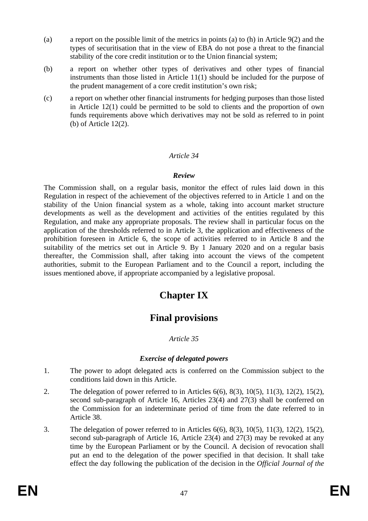- (a) a report on the possible limit of the metrics in points (a) to (h) in Article 9(2) and the types of securitisation that in the view of EBA do not pose a threat to the financial stability of the core credit institution or to the Union financial system;
- (b) a report on whether other types of derivatives and other types of financial instruments than those listed in Article 11(1) should be included for the purpose of the prudent management of a core credit institution's own risk;
- (c) a report on whether other financial instruments for hedging purposes than those listed in Article 12(1) could be permitted to be sold to clients and the proportion of own funds requirements above which derivatives may not be sold as referred to in point (b) of Article 12(2).

#### *Article 34*

#### *Review*

The Commission shall, on a regular basis, monitor the effect of rules laid down in this Regulation in respect of the achievement of the objectives referred to in Article 1 and on the stability of the Union financial system as a whole, taking into account market structure developments as well as the development and activities of the entities regulated by this Regulation, and make any appropriate proposals. The review shall in particular focus on the application of the thresholds referred to in Article 3, the application and effectiveness of the prohibition foreseen in Article 6, the scope of activities referred to in Article 8 and the suitability of the metrics set out in Article 9. By 1 January 2020 and on a regular basis thereafter, the Commission shall, after taking into account the views of the competent authorities, submit to the European Parliament and to the Council a report, including the issues mentioned above, if appropriate accompanied by a legislative proposal.

# **Chapter IX**

# **Final provisions**

# *Article 35*

#### *Exercise of delegated powers*

- 1. The power to adopt delegated acts is conferred on the Commission subject to the conditions laid down in this Article.
- 2. The delegation of power referred to in Articles 6(6), 8(3), 10(5), 11(3), 12(2), 15(2), second sub-paragraph of Article 16, Articles 23(4) and 27(3) shall be conferred on the Commission for an indeterminate period of time from the date referred to in Article 38.
- 3. The delegation of power referred to in Articles 6(6), 8(3), 10(5), 11(3), 12(2), 15(2), second sub-paragraph of Article 16, Article 23(4) and 27(3) may be revoked at any time by the European Parliament or by the Council. A decision of revocation shall put an end to the delegation of the power specified in that decision. It shall take effect the day following the publication of the decision in the *Official Journal of the*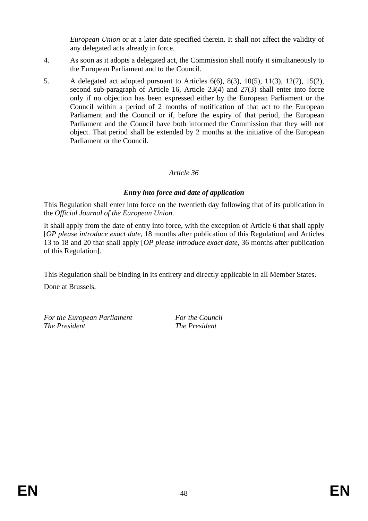*European Union* or at a later date specified therein. It shall not affect the validity of any delegated acts already in force.

- 4. As soon as it adopts a delegated act, the Commission shall notify it simultaneously to the European Parliament and to the Council.
- 5. A delegated act adopted pursuant to Articles 6(6), 8(3), 10(5), 11(3), 12(2), 15(2), second sub-paragraph of Article 16, Article 23(4) and 27(3) shall enter into force only if no objection has been expressed either by the European Parliament or the Council within a period of 2 months of notification of that act to the European Parliament and the Council or if, before the expiry of that period, the European Parliament and the Council have both informed the Commission that they will not object. That period shall be extended by 2 months at the initiative of the European Parliament or the Council.

# *Article 36*

# *Entry into force and date of application*

This Regulation shall enter into force on the twentieth day following that of its publication in the *Official Journal of the European Union*.

It shall apply from the date of entry into force, with the exception of Article 6 that shall apply [*OP please introduce exact date,* 18 months after publication of this Regulation] and Articles 13 to 18 and 20 that shall apply [*OP please introduce exact date,* 36 months after publication of this Regulation].

This Regulation shall be binding in its entirety and directly applicable in all Member States.

Done at Brussels,

*For the European Parliament For the Council The President The President*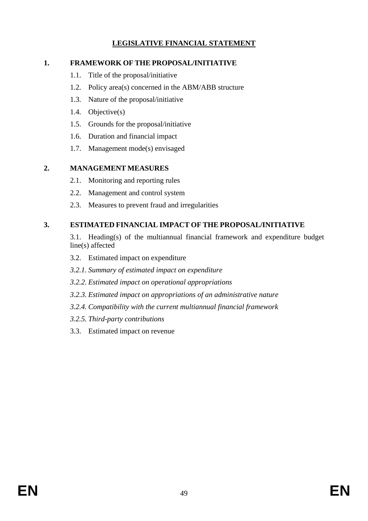# **LEGISLATIVE FINANCIAL STATEMENT**

# **1. FRAMEWORK OF THE PROPOSAL/INITIATIVE**

- 1.1. Title of the proposal/initiative
- 1.2. Policy area(s) concerned in the ABM/ABB structure
- 1.3. Nature of the proposal/initiative
- 1.4. Objective(s)
- 1.5. Grounds for the proposal/initiative
- 1.6. Duration and financial impact
- 1.7. Management mode(s) envisaged

# **2. MANAGEMENT MEASURES**

- 2.1. Monitoring and reporting rules
- 2.2. Management and control system
- 2.3. Measures to prevent fraud and irregularities

# **3. ESTIMATED FINANCIAL IMPACT OF THE PROPOSAL/INITIATIVE**

 3.1. Heading(s) of the multiannual financial framework and expenditure budget line(s) affected

- 3.2. Estimated impact on expenditure
- *3.2.1. Summary of estimated impact on expenditure*
- *3.2.2. Estimated impact on operational appropriations*
- *3.2.3. Estimated impact on appropriations of an administrative nature*
- *3.2.4. Compatibility with the current multiannual financial framework*
- *3.2.5. Third-party contributions*
- 3.3. Estimated impact on revenue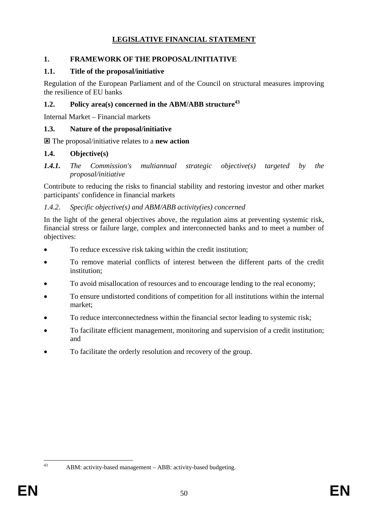# **LEGISLATIVE FINANCIAL STATEMENT**

# **1. FRAMEWORK OF THE PROPOSAL/INITIATIVE**

# **1.1. Title of the proposal/initiative**

Regulation of the European Parliament and of the Council on structural measures improving the resilience of EU banks

# **1.2. Policy area(s) concerned in the ABM/ABB structure<sup>43</sup>**

Internal Market – Financial markets

# **1.3. Nature of the proposal/initiative**

: The proposal/initiative relates to a **new action**

# **1.4. Objective(s)**

### *1.4.1. The Commission's multiannual strategic objective(s) targeted by the proposal/initiative*

Contribute to reducing the risks to financial stability and restoring investor and other market participants' confidence in financial markets

# *1.4.2. Specific objective(s) and ABM/ABB activity(ies) concerned*

In the light of the general objectives above, the regulation aims at preventing systemic risk, financial stress or failure large, complex and interconnected banks and to meet a number of objectives:

- To reduce excessive risk taking within the credit institution;
- To remove material conflicts of interest between the different parts of the credit institution;
- To avoid misallocation of resources and to encourage lending to the real economy;
- To ensure undistorted conditions of competition for all institutions within the internal market;
- To reduce interconnectedness within the financial sector leading to systemic risk;
- To facilitate efficient management, monitoring and supervision of a credit institution; and
- To facilitate the orderly resolution and recovery of the group.

 $43$ 

ABM: activity-based management – ABB: activity-based budgeting.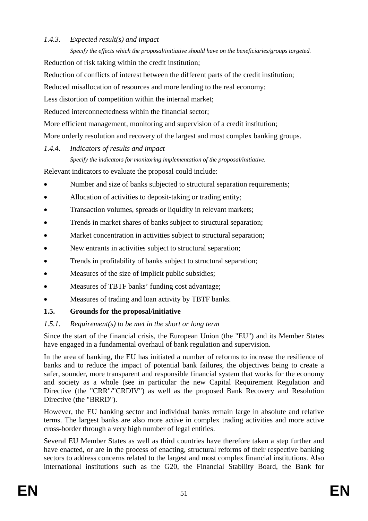# *1.4.3. Expected result(s) and impact*

*Specify the effects which the proposal/initiative should have on the beneficiaries/groups targeted.*  Reduction of risk taking within the credit institution;

Reduction of conflicts of interest between the different parts of the credit institution;

Reduced misallocation of resources and more lending to the real economy;

Less distortion of competition within the internal market;

Reduced interconnectedness within the financial sector;

More efficient management, monitoring and supervision of a credit institution;

More orderly resolution and recovery of the largest and most complex banking groups.

### *1.4.4. Indicators of results and impact*

*Specify the indicators for monitoring implementation of the proposal/initiative.* 

Relevant indicators to evaluate the proposal could include:

- Number and size of banks subjected to structural separation requirements;
- Allocation of activities to deposit-taking or trading entity;
- Transaction volumes, spreads or liquidity in relevant markets;
- Trends in market shares of banks subject to structural separation;
- Market concentration in activities subject to structural separation;
- New entrants in activities subject to structural separation;
- Trends in profitability of banks subject to structural separation;
- Measures of the size of implicit public subsidies;
- Measures of TBTF banks' funding cost advantage;
- Measures of trading and loan activity by TBTF banks.

# **1.5. Grounds for the proposal/initiative**

# *1.5.1. Requirement(s) to be met in the short or long term*

Since the start of the financial crisis, the European Union (the "EU") and its Member States have engaged in a fundamental overhaul of bank regulation and supervision.

In the area of banking, the EU has initiated a number of reforms to increase the resilience of banks and to reduce the impact of potential bank failures, the objectives being to create a safer, sounder, more transparent and responsible financial system that works for the economy and society as a whole (see in particular the new Capital Requirement Regulation and Directive (the "CRR"/"CRDIV") as well as the proposed Bank Recovery and Resolution Directive (the "BRRD").

However, the EU banking sector and individual banks remain large in absolute and relative terms. The largest banks are also more active in complex trading activities and more active cross-border through a very high number of legal entities.

Several EU Member States as well as third countries have therefore taken a step further and have enacted, or are in the process of enacting, structural reforms of their respective banking sectors to address concerns related to the largest and most complex financial institutions. Also international institutions such as the G20, the Financial Stability Board, the Bank for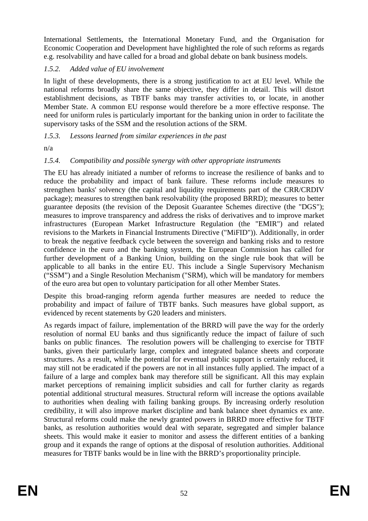International Settlements, the International Monetary Fund, and the Organisation for Economic Cooperation and Development have highlighted the role of such reforms as regards e.g. resolvability and have called for a broad and global debate on bank business models.

# *1.5.2. Added value of EU involvement*

In light of these developments, there is a strong justification to act at EU level. While the national reforms broadly share the same objective, they differ in detail. This will distort establishment decisions, as TBTF banks may transfer activities to, or locate, in another Member State. A common EU response would therefore be a more effective response. The need for uniform rules is particularly important for the banking union in order to facilitate the supervisory tasks of the SSM and the resolution actions of the SRM.

# *1.5.3. Lessons learned from similar experiences in the past*

n/a

# *1.5.4. Compatibility and possible synergy with other appropriate instruments*

The EU has already initiated a number of reforms to increase the resilience of banks and to reduce the probability and impact of bank failure. These reforms include measures to strengthen banks' solvency (the capital and liquidity requirements part of the CRR/CRDIV package); measures to strengthen bank resolvability (the proposed BRRD); measures to better guarantee deposits (the revision of the Deposit Guarantee Schemes directive (the "DGS"); measures to improve transparency and address the risks of derivatives and to improve market infrastructures (European Market Infrastructure Regulation (the "EMIR") and related revisions to the Markets in Financial Instruments Directive ("MiFID")). Additionally, in order to break the negative feedback cycle between the sovereign and banking risks and to restore confidence in the euro and the banking system, the European Commission has called for further development of a Banking Union, building on the single rule book that will be applicable to all banks in the entire EU. This include a Single Supervisory Mechanism ("SSM") and a Single Resolution Mechanism ("SRM), which will be mandatory for members of the euro area but open to voluntary participation for all other Member States.

Despite this broad-ranging reform agenda further measures are needed to reduce the probability and impact of failure of TBTF banks. Such measures have global support, as evidenced by recent statements by G20 leaders and ministers.

As regards impact of failure, implementation of the BRRD will pave the way for the orderly resolution of normal EU banks and thus significantly reduce the impact of failure of such banks on public finances. The resolution powers will be challenging to exercise for TBTF banks, given their particularly large, complex and integrated balance sheets and corporate structures. As a result, while the potential for eventual public support is certainly reduced, it may still not be eradicated if the powers are not in all instances fully applied. The impact of a failure of a large and complex bank may therefore still be significant. All this may explain market perceptions of remaining implicit subsidies and call for further clarity as regards potential additional structural measures. Structural reform will increase the options available to authorities when dealing with failing banking groups. By increasing orderly resolution credibility, it will also improve market discipline and bank balance sheet dynamics ex ante. Structural reforms could make the newly granted powers in BRRD more effective for TBTF banks, as resolution authorities would deal with separate, segregated and simpler balance sheets. This would make it easier to monitor and assess the different entities of a banking group and it expands the range of options at the disposal of resolution authorities. Additional measures for TBTF banks would be in line with the BRRD's proportionality principle.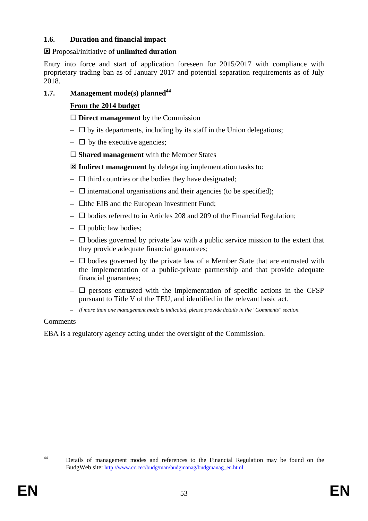# **1.6. Duration and financial impact**

# : Proposal/initiative of **unlimited duration**

Entry into force and start of application foreseen for 2015/2017 with compliance with proprietary trading ban as of January 2017 and potential separation requirements as of July 2018.

# **1.7. Management mode(s) planned**<sup>44</sup>

# **From the 2014 budget**

**Direct management** by the Commission

- $\Box$  by its departments, including by its staff in the Union delegations;
- $\Box$  by the executive agencies;

**Shared management** with the Member States

: **Indirect management** by delegating implementation tasks to:

- $\Box$  third countries or the bodies they have designated;
- $\Box$  international organisations and their agencies (to be specified);
- $\Box$  the EIB and the European Investment Fund;
- $\square$  bodies referred to in Articles 208 and 209 of the Financial Regulation;
- $\Box$  public law bodies;
- $-\Box$  bodies governed by private law with a public service mission to the extent that they provide adequate financial guarantees;
- $\Box$  bodies governed by the private law of a Member State that are entrusted with the implementation of a public-private partnership and that provide adequate financial guarantees;
- $\Box$  persons entrusted with the implementation of specific actions in the CFSP pursuant to Title V of the TEU, and identified in the relevant basic act.
- *If more than one management mode is indicated, please provide details in the "Comments" section.*

# Comments

EBA is a regulatory agency acting under the oversight of the Commission.

 $\overline{A}$ Details of management modes and references to the Financial Regulation may be found on the BudgWeb site[: http://www.cc.cec/budg/man](http://www.cc.cec/budg/man/budgmanag/budgmanag_en.html)/budgmanag/budgmanag\_en.html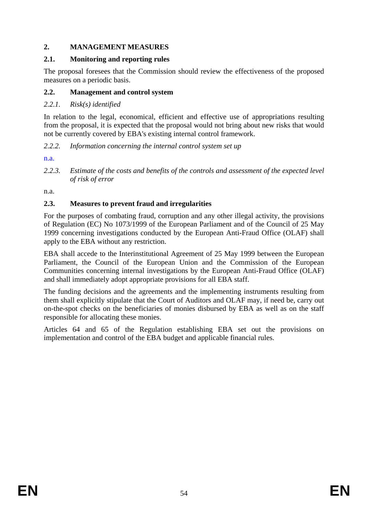# **2. MANAGEMENT MEASURES**

### **2.1. Monitoring and reporting rules**

The proposal foresees that the Commission should review the effectiveness of the proposed measures on a periodic basis.

### **2.2. Management and control system**

# *2.2.1. Risk(s) identified*

In relation to the legal, economical, efficient and effective use of appropriations resulting from the proposal, it is expected that the proposal would not bring about new risks that would not be currently covered by EBA's existing internal control framework.

*2.2.2. Information concerning the internal control system set up* 

n.a.

*2.2.3. Estimate of the costs and benefits of the controls and assessment of the expected level of risk of error* 

n.a.

# **2.3. Measures to prevent fraud and irregularities**

For the purposes of combating fraud, corruption and any other illegal activity, the provisions of Regulation (EC) No 1073/1999 of the European Parliament and of the Council of 25 May 1999 concerning investigations conducted by the European Anti-Fraud Office (OLAF) shall apply to the EBA without any restriction.

EBA shall accede to the Interinstitutional Agreement of 25 May 1999 between the European Parliament, the Council of the European Union and the Commission of the European Communities concerning internal investigations by the European Anti-Fraud Office (OLAF) and shall immediately adopt appropriate provisions for all EBA staff.

The funding decisions and the agreements and the implementing instruments resulting from them shall explicitly stipulate that the Court of Auditors and OLAF may, if need be, carry out on-the-spot checks on the beneficiaries of monies disbursed by EBA as well as on the staff responsible for allocating these monies.

Articles 64 and 65 of the Regulation establishing EBA set out the provisions on implementation and control of the EBA budget and applicable financial rules.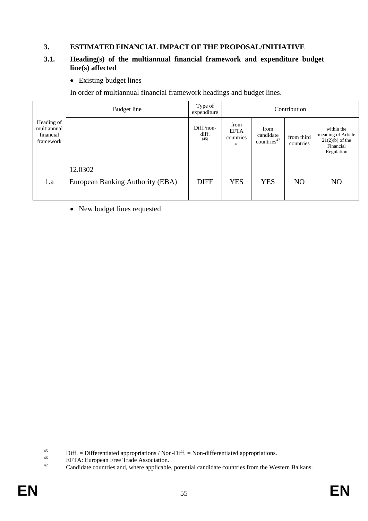# **3. ESTIMATED FINANCIAL IMPACT OF THE PROPOSAL/INITIATIVE**

#### **3.1. Heading(s) of the multiannual financial framework and expenditure budget line(s) affected**

• Existing budget lines

In order of multiannual financial framework headings and budget lines.

|                                                     | Budget line                                 | Type of<br>expenditure      | Contribution                           |                                              |                         |                                                                                  |  |  |  |
|-----------------------------------------------------|---------------------------------------------|-----------------------------|----------------------------------------|----------------------------------------------|-------------------------|----------------------------------------------------------------------------------|--|--|--|
| Heading of<br>multiannual<br>financial<br>framework |                                             | Diff./non-<br>diff.<br>(45) | from<br><b>EFTA</b><br>countries<br>46 | from<br>candidate<br>countries <sup>47</sup> | from third<br>countries | within the<br>meaning of Article<br>$21(2)(b)$ of the<br>Financial<br>Regulation |  |  |  |
| 1.a                                                 | 12.0302<br>European Banking Authority (EBA) | <b>DIFF</b>                 | <b>YES</b>                             | <b>YES</b>                                   | N <sub>O</sub>          | N <sub>O</sub>                                                                   |  |  |  |

• New budget lines requested

 $45$ <sup>45</sup> Diff. = Differentiated appropriations / Non-Diff. = Non-differentiated appropriations.<br><sup>46</sup> EFTA: European Free Trade Association.<br>Condidate countries and where applicable potential applicate countries from the Wo

Candidate countries and, where applicable, potential candidate countries from the Western Balkans.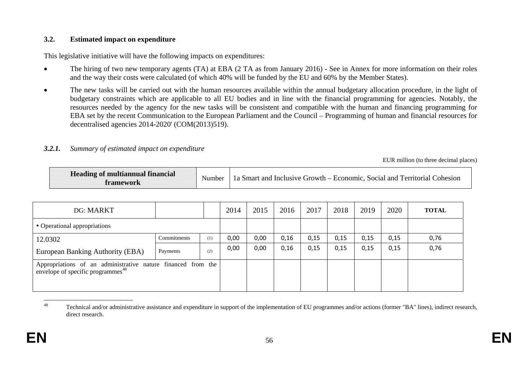#### **3.2.Estimated impact on expenditure**

This legislative initiative will have the following impacts on expenditures:

- • The hiring of two new temporary agents (TA) at EBA (2 TA as from January 2016) - See in Annex for more information on their roles and the way their costs were calculated (of which 40% will be funded by the EU and 60% by the Member States).
- • The new tasks will be carried out with the human resources available within the annual budgetary allocation procedure, in the light of budgetary constraints which are applicable to all EU bodies and in line with the financial programming for agencies. Notably, the resources needed by the agency for the new tasks will be consistent and compatible with the human and financing programming for EBA set by the recent Communication to the European Parliament and the Council – Programming of human and financial resources for decentralised agencies 2014-2020' (COM(2013)519).

#### *3.2.1.Summary of estimated impact on expenditure*

EUR million (to three decimal places)

| <b>Heading of multiannual financial</b><br>Number<br><b>framework</b> | 1 a Smart and Inclusive Growth – Economic, Social and Territorial Cohesion |
|-----------------------------------------------------------------------|----------------------------------------------------------------------------|
|-----------------------------------------------------------------------|----------------------------------------------------------------------------|

| DG: MARKT                                                                                                     |             |     | 2014 | 2015 | 2016 | 2017 | 2018 | 2019 | 2020 | <b>TOTAL</b> |
|---------------------------------------------------------------------------------------------------------------|-------------|-----|------|------|------|------|------|------|------|--------------|
| • Operational appropriations                                                                                  |             |     |      |      |      |      |      |      |      |              |
| 12.0302                                                                                                       | Commitments | (1) | 0,00 | 0,00 | 0,16 | 0,15 | 0,15 | 0,15 | 0,15 | 0,76         |
| European Banking Authority (EBA)                                                                              | Payments    | (2) | 0,00 | 0,00 | 0,16 | 0,15 | 0,15 | 0,15 | 0,15 | 0,76         |
| Appropriations of an administrative nature financed from the<br>envelope of specific programmes <sup>48</sup> |             |     |      |      |      |      |      |      |      |              |

<sup>&</sup>lt;sup>48</sup> Technical and/or administrative assistance and expenditure in support of the implementation of EU programmes and/or actions (former "BA" lines), indirect research, direct research.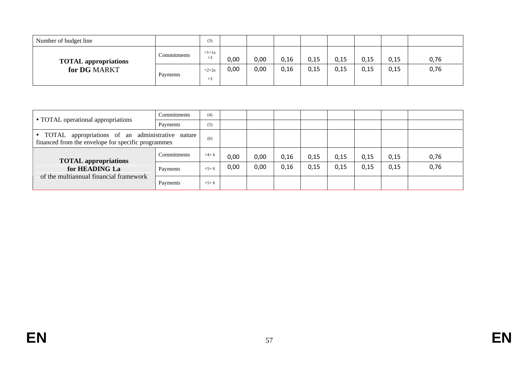| Number of budget line                       |             | (3)             |      |      |      |      |      |      |      |      |
|---------------------------------------------|-------------|-----------------|------|------|------|------|------|------|------|------|
| <b>TOTAL appropriations</b><br>for DG MARKT | Commitments | $=1+1a$<br>$+3$ | 0,00 | 0,00 | 0,16 | 0,15 | 0,15 | 0,15 | 0,15 | 0,76 |
|                                             | Payments    | $=2+2a$<br>$+5$ | 0,00 | 0,00 | 0,16 | 0,15 | 0,15 | 0,15 | 0,15 | 0,76 |

|                                                                                                                     | Commitments        | (4)       |      |      |      |      |      |      |      |      |
|---------------------------------------------------------------------------------------------------------------------|--------------------|-----------|------|------|------|------|------|------|------|------|
| • TOTAL operational appropriations                                                                                  | Payments           | (5)       |      |      |      |      |      |      |      |      |
| appropriations of an administrative nature<br>$\bullet$ TOTAL<br>financed from the envelope for specific programmes |                    | (6)       |      |      |      |      |      |      |      |      |
| <b>TOTAL</b> appropriations                                                                                         | <b>Commitments</b> | $=$ 4+6   | 0,00 | 0,00 | 0,16 | 0,15 | 0,15 | 0,15 | 0,15 | 0,76 |
| for HEADING 1.a                                                                                                     | Payments           | $= 5 + 6$ | 0,00 | 0,00 | 0,16 | 0,15 | 0,15 | 0,15 | 0,15 | 0,76 |
| of the multiannual financial framework                                                                              | Payments           | $= 5 + 6$ |      |      |      |      |      |      |      |      |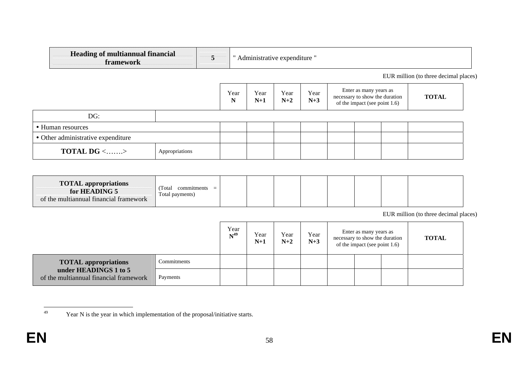| <b>Heading of multiannual financial</b><br>framework | 5<br>" Administrative expenditure " |           |               |               |               |  |                                                                                           |  |                                       |  |
|------------------------------------------------------|-------------------------------------|-----------|---------------|---------------|---------------|--|-------------------------------------------------------------------------------------------|--|---------------------------------------|--|
|                                                      |                                     |           |               |               |               |  |                                                                                           |  | EUR million (to three decimal places) |  |
|                                                      |                                     | Year<br>N | Year<br>$N+1$ | Year<br>$N+2$ | Year<br>$N+3$ |  | Enter as many years as<br>necessary to show the duration<br>of the impact (see point 1.6) |  | <b>TOTAL</b>                          |  |
| DG:                                                  |                                     |           |               |               |               |  |                                                                                           |  |                                       |  |
| • Human resources                                    |                                     |           |               |               |               |  |                                                                                           |  |                                       |  |
| • Other administrative expenditure                   |                                     |           |               |               |               |  |                                                                                           |  |                                       |  |
| <b>TOTAL DG</b> <><br>Appropriations                 |                                     |           |               |               |               |  |                                                                                           |  |                                       |  |

| <b>TOTAL appropriations</b><br>for HEADING 5<br>of the multiannual financial framework | Total<br>$commutments =$<br>Total payments) |  |  |  |  |  |  |  |  |  |
|----------------------------------------------------------------------------------------|---------------------------------------------|--|--|--|--|--|--|--|--|--|
|----------------------------------------------------------------------------------------|---------------------------------------------|--|--|--|--|--|--|--|--|--|

EUR million (to three decimal places)

|                                                                 | Year<br>$N^{49}$ | Year<br>$N+1$ | Year<br>$N+2$ | Year<br>$N+3$ | Enter as many years as<br>necessary to show the duration<br>of the impact (see point 1.6) | <b>TOTAL</b> |  |
|-----------------------------------------------------------------|------------------|---------------|---------------|---------------|-------------------------------------------------------------------------------------------|--------------|--|
| <b>TOTAL appropriations</b>                                     | Commitments      |               |               |               |                                                                                           |              |  |
| under HEADINGS 1 to 5<br>of the multiannual financial framework | Payments         |               |               |               |                                                                                           |              |  |

<sup>49</sup> Year N is the year in which implementation of the proposal/initiative starts.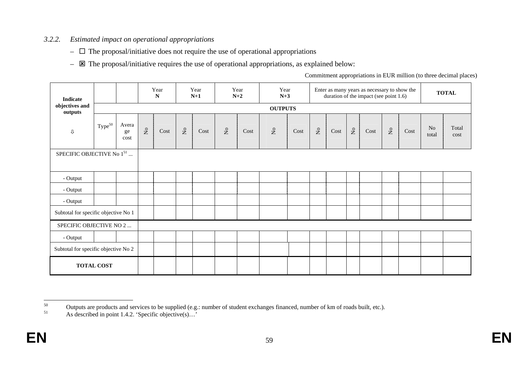#### *3.2.2.Estimated impact on operational appropriations*

- $\Box$  The proposal/initiative does not require the use of operational appropriations
- $\equiv$   $\Xi$  The proposal/initiative requires the use of operational appropriations, as explained below:

Commitment appropriations in EUR million (to three decimal places)

| <b>Indicate</b>                       |                    |                     |                         | Year<br>${\bf N}$ |                           | Year<br>$N+1$ |                 | Year<br>$N+2$ | Year<br>$N+3$             |      |                         |      |                         | Enter as many years as necessary to show the<br>duration of the impact (see point 1.6) |                               |      |                         | <b>TOTAL</b>  |
|---------------------------------------|--------------------|---------------------|-------------------------|-------------------|---------------------------|---------------|-----------------|---------------|---------------------------|------|-------------------------|------|-------------------------|----------------------------------------------------------------------------------------|-------------------------------|------|-------------------------|---------------|
| objectives and<br>outputs             |                    |                     |                         |                   |                           |               |                 |               | <b>OUTPUTS</b>            |      |                         |      |                         |                                                                                        |                               |      |                         |               |
| $\mathbb Q$                           | Type <sup>50</sup> | Avera<br>ge<br>cost | $\mathsf{S}_\mathsf{O}$ | Cost              | $\rm \stackrel{\circ}{X}$ | Cost          | $\rm N_{\rm O}$ | Cost          | $\mathsf{S}^{\mathsf{o}}$ | Cost | $\mathsf{X}^\mathsf{o}$ | Cost | $\mathsf{S}_\mathsf{C}$ | Cost                                                                                   | $\rm \stackrel{\circ}{\rm X}$ | Cost | N <sub>o</sub><br>total | Total<br>cost |
| SPECIFIC OBJECTIVE No 1 <sup>51</sup> |                    |                     |                         |                   |                           |               |                 |               |                           |      |                         |      |                         |                                                                                        |                               |      |                         |               |
| - Output                              |                    |                     |                         |                   |                           |               |                 |               |                           |      |                         |      |                         |                                                                                        |                               |      |                         |               |
| - Output                              |                    |                     |                         |                   |                           |               |                 |               |                           |      |                         |      |                         |                                                                                        |                               |      |                         |               |
| - Output                              |                    |                     |                         |                   |                           |               |                 |               |                           |      |                         |      |                         |                                                                                        |                               |      |                         |               |
| Subtotal for specific objective No 1  |                    |                     |                         |                   |                           |               |                 |               |                           |      |                         |      |                         |                                                                                        |                               |      |                         |               |
| SPECIFIC OBJECTIVE NO 2               |                    |                     |                         |                   |                           |               |                 |               |                           |      |                         |      |                         |                                                                                        |                               |      |                         |               |
| - Output                              |                    |                     |                         |                   |                           |               |                 |               |                           |      |                         |      |                         |                                                                                        |                               |      |                         |               |
| Subtotal for specific objective No 2  |                    |                     |                         |                   |                           |               |                 |               |                           |      |                         |      |                         |                                                                                        |                               |      |                         |               |
|                                       | <b>TOTAL COST</b>  |                     |                         |                   |                           |               |                 |               |                           |      |                         |      |                         |                                                                                        |                               |      |                         |               |

<sup>&</sup>lt;sup>50</sup> Outputs are products and services to be supplied (e.g.: number of student exchanges financed, number of km of roads built, etc.).

As described in point 1.4.2. 'Specific objective(s)...'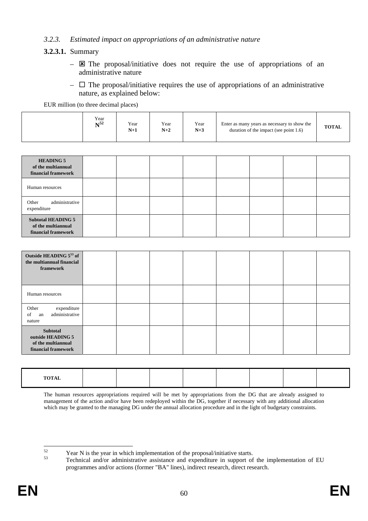#### *3.2.3. Estimated impact on appropriations of an administrative nature*

### **3.2.3.1.** Summary

- $\boxtimes$  The proposal/initiative does not require the use of appropriations of an administrative nature
- $\Box$  The proposal/initiative requires the use of appropriations of an administrative nature, as explained below:

EUR million (to three decimal places)

|  | Year<br>NT52 | Year<br>$N+1$ | Year<br>$N+2$ | Year<br>$N+3$ | Enter as many years as necessary to show the<br>duration of the impact (see point $1.6$ ) | <b>TOTAL</b> |
|--|--------------|---------------|---------------|---------------|-------------------------------------------------------------------------------------------|--------------|
|--|--------------|---------------|---------------|---------------|-------------------------------------------------------------------------------------------|--------------|

| <b>HEADING 5</b><br>of the multiannual<br>financial framework          |  |  |  |  |
|------------------------------------------------------------------------|--|--|--|--|
| Human resources                                                        |  |  |  |  |
| administrative<br>Other<br>expenditure                                 |  |  |  |  |
| <b>Subtotal HEADING 5</b><br>of the multiannual<br>financial framework |  |  |  |  |

| Outside HEADING 553 of<br>the multiannual financial<br>framework           |  |  |  |  |
|----------------------------------------------------------------------------|--|--|--|--|
| Human resources                                                            |  |  |  |  |
| expenditure<br>Other<br>administrative<br>of<br>an<br>nature               |  |  |  |  |
| Subtotal<br>outside HEADING 5<br>of the multiannual<br>financial framework |  |  |  |  |

| <b>TOTAL</b>  |  |  |  |  |
|---------------|--|--|--|--|
| $\sim$ $\sim$ |  |  |  |  |
|               |  |  |  |  |
|               |  |  |  |  |
|               |  |  |  |  |

The human resources appropriations required will be met by appropriations from the DG that are already assigned to management of the action and/or have been redeployed within the DG, together if necessary with any additional allocation which may be granted to the managing DG under the annual allocation procedure and in the light of budgetary constraints.

52

<sup>&</sup>lt;sup>52</sup> Year N is the year in which implementation of the proposal/initiative starts.<br><sup>53</sup> Technical and/or administrative assistance and expenditure in support of the implementation of EU programmes and/or actions (former "BA" lines), indirect research, direct research.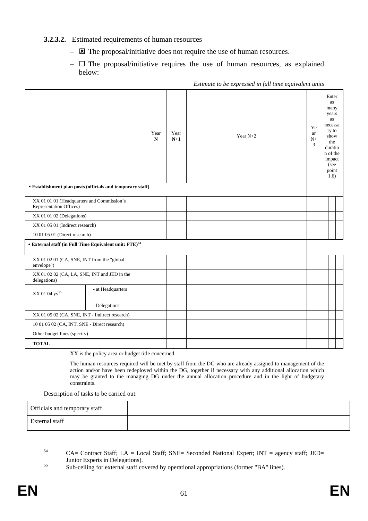#### **3.2.3.2.** Estimated requirements of human resources

- $\overline{\mathbf{z}}$  The proposal/initiative does not require the use of human resources.
- $\Box$  The proposal/initiative requires the use of human resources, as explained below:

|                                                                       |                   | Year<br>${\bf N}$ | Year<br>$N+1$ | Year $N+2$ | Ye<br>ar<br>${\rm N}+$<br>3 | Enter<br>as<br>many<br>years<br>as<br>necessa<br>ry to<br>show<br>the<br>duratio<br>n of the<br>impact<br>(see<br>point<br>1.6) |  |
|-----------------------------------------------------------------------|-------------------|-------------------|---------------|------------|-----------------------------|---------------------------------------------------------------------------------------------------------------------------------|--|
| • Establishment plan posts (officials and temporary staff)            |                   |                   |               |            |                             |                                                                                                                                 |  |
| XX 01 01 01 (Headquarters and Commission's<br>Representation Offices) |                   |                   |               |            |                             |                                                                                                                                 |  |
| XX 01 01 02 (Delegations)                                             |                   |                   |               |            |                             |                                                                                                                                 |  |
| XX 01 05 01 (Indirect research)                                       |                   |                   |               |            |                             |                                                                                                                                 |  |
| 10 01 05 01 (Direct research)                                         |                   |                   |               |            |                             |                                                                                                                                 |  |
| • External staff (in Full Time Equivalent unit: FTE) <sup>54</sup>    |                   |                   |               |            |                             |                                                                                                                                 |  |
| XX 01 02 01 (CA, SNE, INT from the "global<br>envelope")              |                   |                   |               |            |                             |                                                                                                                                 |  |
| XX 01 02 02 (CA, LA, SNE, INT and JED in the<br>delegations)          |                   |                   |               |            |                             |                                                                                                                                 |  |
| XX 01 04 yy <sup>55</sup>                                             | - at Headquarters |                   |               |            |                             |                                                                                                                                 |  |
|                                                                       | - Delegations     |                   |               |            |                             |                                                                                                                                 |  |
| XX 01 05 02 (CA, SNE, INT - Indirect research)                        |                   |                   |               |            |                             |                                                                                                                                 |  |
| 10 01 05 02 (CA, INT, SNE - Direct research)                          |                   |                   |               |            |                             |                                                                                                                                 |  |
| Other budget lines (specify)                                          |                   |                   |               |            |                             |                                                                                                                                 |  |
| <b>TOTAL</b>                                                          |                   |                   |               |            |                             |                                                                                                                                 |  |

*Estimate to be expressed in full time equivalent units* 

XX is the policy area or budget title concerned.

The human resources required will be met by staff from the DG who are already assigned to management of the action and/or have been redeployed within the DG, together if necessary with any additional allocation which may be granted to the managing DG under the annual allocation procedure and in the light of budgetary constraints.

Description of tasks to be carried out:

| Officials and temporary staff |  |
|-------------------------------|--|
| External staff                |  |

<sup>54</sup>  $CA=$  Contract Staff; LA = Local Staff; SNE= Seconded National Expert; INT = agency staff; JED=

Junior Experts in Delegations).<br>
Sub-ceiling for external staff covered by operational appropriations (former "BA" lines).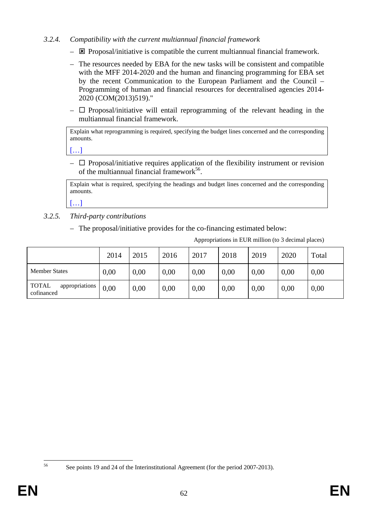# *3.2.4. Compatibility with the current multiannual financial framework*

- $\overline{\mathbf{B}}$  Proposal/initiative is compatible the current multiannual financial framework.
- The resources needed by EBA for the new tasks will be consistent and compatible with the MFF 2014-2020 and the human and financing programming for EBA set by the recent Communication to the European Parliament and the Council – Programming of human and financial resources for decentralised agencies 2014- 2020 (COM(2013)519)."
- $\Box$  Proposal/initiative will entail reprogramming of the relevant heading in the multiannual financial framework.

Explain what reprogramming is required, specifying the budget lines concerned and the corresponding amounts.

[…]

 $\Box$  Proposal/initiative requires application of the flexibility instrument or revision of the multiannual financial framework<sup>56</sup>.

Explain what is required, specifying the headings and budget lines concerned and the corresponding amounts.

[…]

- *3.2.5. Third-party contributions* 
	- The proposal/initiative provides for the co-financing estimated below:

Appropriations in EUR million (to 3 decimal places)

|                                              | 2014 | 2015 | 2016 | 2017 | 2018 | 2019 | 2020 | Total |
|----------------------------------------------|------|------|------|------|------|------|------|-------|
| <b>Member States</b>                         | 0,00 | 0.00 | 0,00 | 0,00 | 0,00 | 0,00 | 0,00 | 0,00  |
| appropriations<br><b>TOTAL</b><br>cofinanced | 0,00 | 0,00 | 0,00 | 0,00 | 0,00 | 0,00 | 0,00 | 0,00  |

<sup>56</sup> 

See points 19 and 24 of the Interinstitutional Agreement (for the period 2007-2013).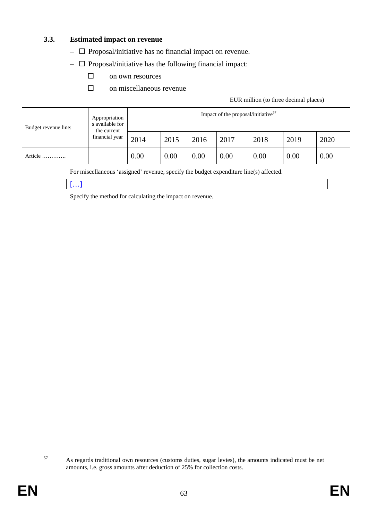### **3.3. Estimated impact on revenue**

- $\Box$  Proposal/initiative has no financial impact on revenue.
- $\Box$  Proposal/initiative has the following financial impact:
	- □ on own resources
	- $\Box$  on miscellaneous revenue

#### EUR million (to three decimal places)

| Budget revenue line: | Appropriation<br>s available for<br>the current<br>financial year | Impact of the proposal/initiative <sup>57</sup> |      |      |      |      |      |      |  |
|----------------------|-------------------------------------------------------------------|-------------------------------------------------|------|------|------|------|------|------|--|
|                      |                                                                   | 2014                                            | 2015 | 2016 | 2017 | 2018 | 2019 | 2020 |  |
| Article              |                                                                   | 0.00                                            | 0.00 | 0.00 | 0.00 | 0.00 | 0.00 | 0.00 |  |

For miscellaneous 'assigned' revenue, specify the budget expenditure line(s) affected.



Specify the method for calculating the impact on revenue.

 $57$ 

<sup>57</sup> As regards traditional own resources (customs duties, sugar levies), the amounts indicated must be net amounts, i.e. gross amounts after deduction of 25% for collection costs.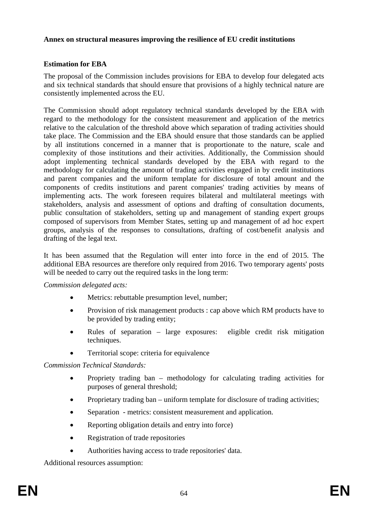#### **Annex on structural measures improving the resilience of EU credit institutions**

# **Estimation for EBA**

The proposal of the Commission includes provisions for EBA to develop four delegated acts and six technical standards that should ensure that provisions of a highly technical nature are consistently implemented across the EU.

The Commission should adopt regulatory technical standards developed by the EBA with regard to the methodology for the consistent measurement and application of the metrics relative to the calculation of the threshold above which separation of trading activities should take place. The Commission and the EBA should ensure that those standards can be applied by all institutions concerned in a manner that is proportionate to the nature, scale and complexity of those institutions and their activities. Additionally, the Commission should adopt implementing technical standards developed by the EBA with regard to the methodology for calculating the amount of trading activities engaged in by credit institutions and parent companies and the uniform template for disclosure of total amount and the components of credits institutions and parent companies' trading activities by means of implementing acts. The work foreseen requires bilateral and multilateral meetings with stakeholders, analysis and assessment of options and drafting of consultation documents, public consultation of stakeholders, setting up and management of standing expert groups composed of supervisors from Member States, setting up and management of ad hoc expert groups, analysis of the responses to consultations, drafting of cost/benefit analysis and drafting of the legal text.

It has been assumed that the Regulation will enter into force in the end of 2015. The additional EBA resources are therefore only required from 2016. Two temporary agents' posts will be needed to carry out the required tasks in the long term:

*Commission delegated acts:* 

- Metrics: rebuttable presumption level, number;
- Provision of risk management products : cap above which RM products have to be provided by trading entity;
- Rules of separation large exposures: eligible credit risk mitigation techniques.
- Territorial scope: criteria for equivalence

*Commission Technical Standards:* 

- Propriety trading ban methodology for calculating trading activities for purposes of general threshold;
- Proprietary trading ban uniform template for disclosure of trading activities;
- Separation metrics: consistent measurement and application.
- Reporting obligation details and entry into force)
- Registration of trade repositories
- Authorities having access to trade repositories' data.

Additional resources assumption: